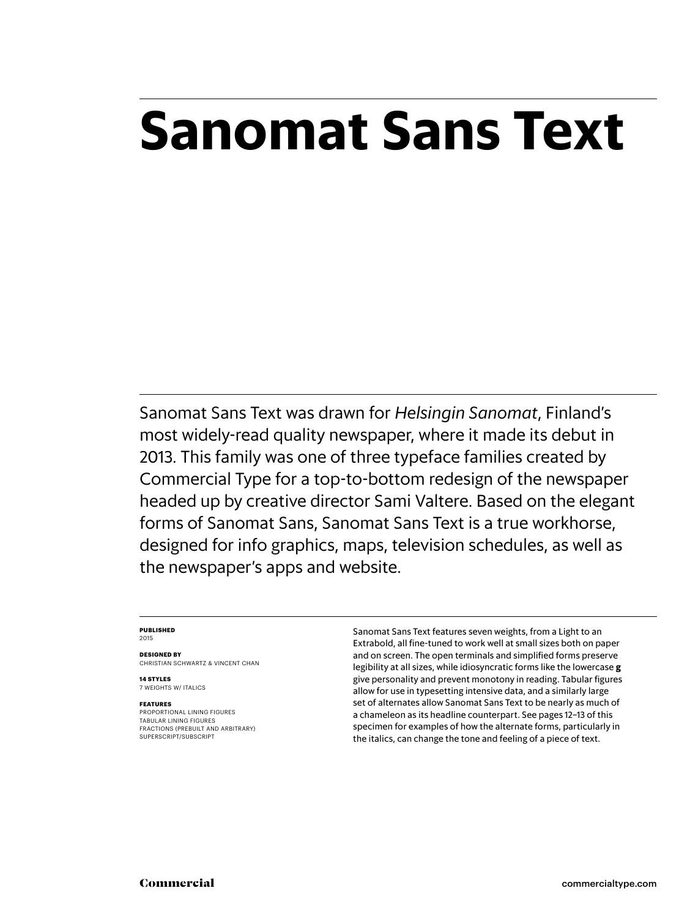# **Sanomat Sans Text**

Sanomat Sans Text was drawn for *Helsingin Sanomat*, Finland's most widely-read quality newspaper, where it made its debut in 2013. This family was one of three typeface families created by Commercial Type for a top-to-bottom redesign of the newspaper headed up by creative director Sami Valtere. Based on the elegant forms of Sanomat Sans, Sanomat Sans Text is a true workhorse, designed for info graphics, maps, television schedules, as well as the newspaper's apps and website.

### **Published** 2015

**Designed by** Christian schwartz & Vincent chan

**14 styles** 7 weights w/ ITALICS

### **Features**

Proportional lining figures Tabular lining figures Fractions (prebuilt and arbitrary) SUPERSCRIPT/SUBSCRIPT

Sanomat Sans Text features seven weights, from a Light to an Extrabold, all fine-tuned to work well at small sizes both on paper and on screen. The open terminals and simplified forms preserve legibility at all sizes, while idiosyncratic forms like the lowercase **g** give personality and prevent monotony in reading. Tabular figures allow for use in typesetting intensive data, and a similarly large set of alternates allow Sanomat Sans Text to be nearly as much of a chameleon as its headline counterpart. See pages 12–13 of this specimen for examples of how the alternate forms, particularly in the italics, can change the tone and feeling of a piece of text.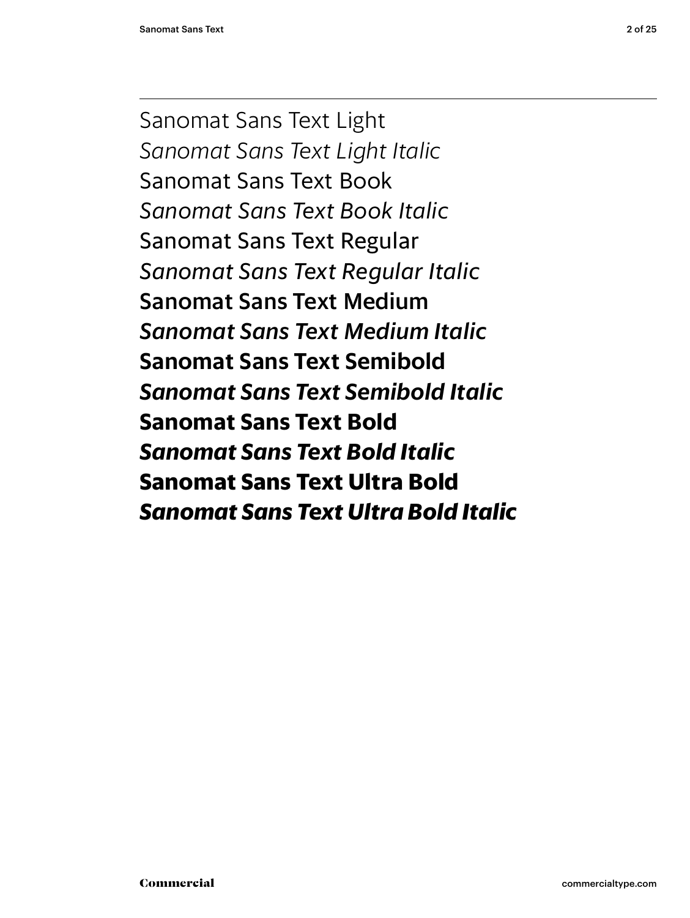Sanomat Sans Text Light *Sanomat Sans Text Light Italic* Sanomat Sans Text Book *Sanomat Sans Text Book Italic* Sanomat Sans Text Regular *Sanomat Sans Text Regular Italic* Sanomat Sans Text Medium *Sanomat Sans Text Medium Italic* **Sanomat Sans Text Semibold** *Sanomat Sans Text Semibold Italic* **Sanomat Sans Text Bold** *Sanomat Sans Text Bold Italic* **Sanomat Sans Text Ultra Bold** *Sanomat Sans Text Ultra Bold Italic*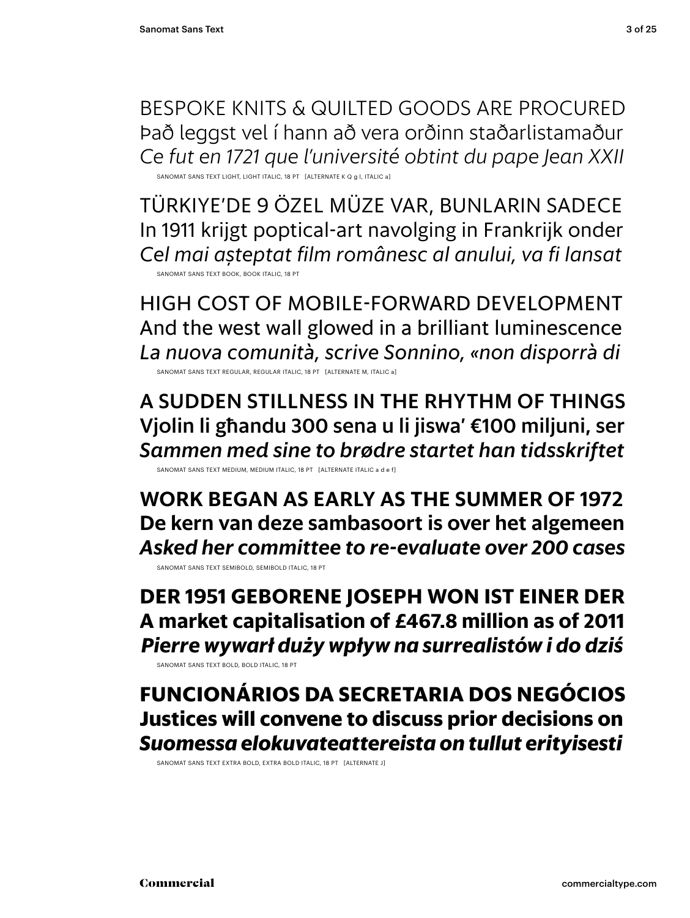bespoke knits & quilted goods are procured Það leggst vel í hann að vera orðinn staðarlistamaður *Ce fut en 1721 que l'université obtint du pape Jean XXII* SANOMAT SANS TEXT LIGHT, LIGHT ITALIC, 18 PT [ALTERNATE K Q g l, ITALIC a]

Türkiye'de 9 özel müze var, bunlarin sadece In 1911 krijgt poptical-art navolging in Frankrijk onder *Cel mai aşteptat film românesc al anului, va fi lansat* Sanomat Sans TEXT book, book Italic, 18 pt

high cost of mobile-forward development And the west wall glowed in a brilliant luminescence *La nuova comunità, scrive Sonnino, «non disporrà di*

SANOMAT SANS TEXT REGULAR, REGULAR ITALIC, 18 PT [ALTERNATE M, ITALIC a]

A sudden stillness in the rhythm of things Vjolin li għandu 300 sena u li jiswa' €100 miljuni, ser *Sammen med sine to brødre startet han tidsskriftet*

SANOMAT SANS TEXT MEDIUM, MEDIUM ITALIC, 18 PT [ALTERNATE ITALIC a d e f]

**Work began as early as the summer of 1972 De kern van deze sambasoort is over het algemeen** *Asked her committee to re-evaluate over 200 cases* Sanomat Sans TEXT semibold, semibold Italic, 18 pt

**Der 1951 geborene Joseph won ist einer der A market capitalisation of £467.8 million as of 2011** *Pierre wywarł duży wpływ na surrealistów i do dziś*

Sanomat Sans TEXT bold, bold Italic, 18 pt

**Funcionários da Secretaria dos Negócios Justices will convene to discuss prior decisions on** *Suomessa elokuvateattereista on tullut erityisesti*

SANOMAT SANS TEXT EXTRA BOLD, EXTRA BOLD ITALIC, 18 PT [ALTERNATE J]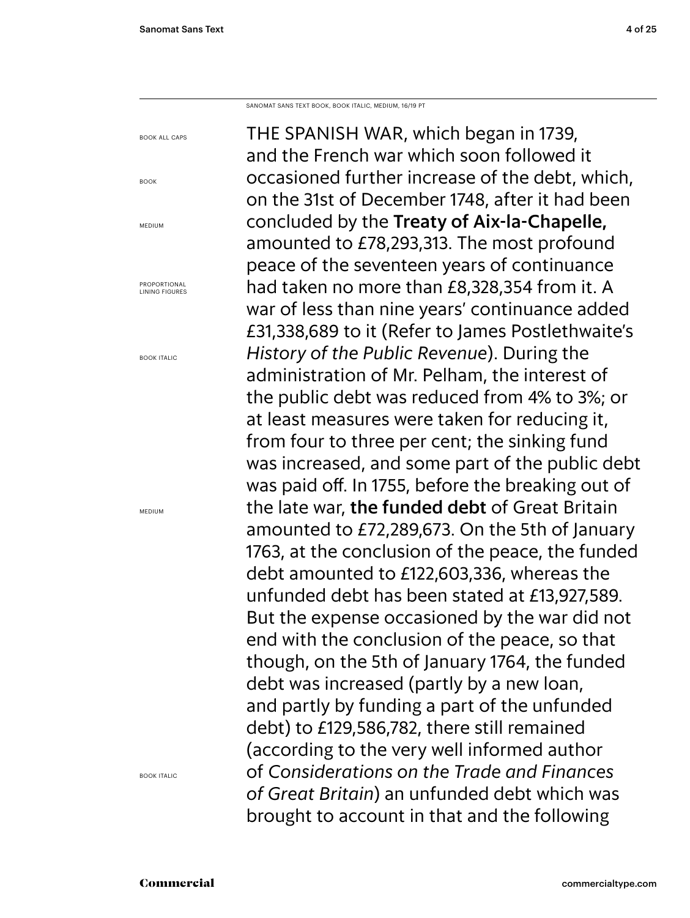Book all caps

Book

**MEDIUM** 

Proportional Lining figures

Book Italic

Medium

Sanomat Sans Text Book, Book italic, Medium, 16/19 PT

The Spanish War, which began in 1739, and the French war which soon followed it occasioned further increase of the debt, which, on the 31st of December 1748, after it had been concluded by the Treaty of Aix-la-Chapelle, amounted to £78,293,313. The most profound peace of the seventeen years of continuance had taken no more than £8,328,354 from it. A war of less than nine years' continuance added £31,338,689 to it (Refer to James Postlethwaite's *History of the Public Revenue*). During the administration of Mr. Pelham, the interest of the public debt was reduced from 4% to 3%; or at least measures were taken for reducing it, from four to three per cent; the sinking fund was increased, and some part of the public debt was paid off. In 1755, before the breaking out of the late war, the funded debt of Great Britain amounted to £72,289,673. On the 5th of January 1763, at the conclusion of the peace, the funded debt amounted to £122,603,336, whereas the unfunded debt has been stated at £13,927,589. But the expense occasioned by the war did not end with the conclusion of the peace, so that though, on the 5th of January 1764, the funded debt was increased (partly by a new loan, and partly by funding a part of the unfunded debt) to £129,586,782, there still remained (according to the very well informed author of *Considerations on the Trade and Finances of Great Britain*) an unfunded debt which was brought to account in that and the following

Book Italic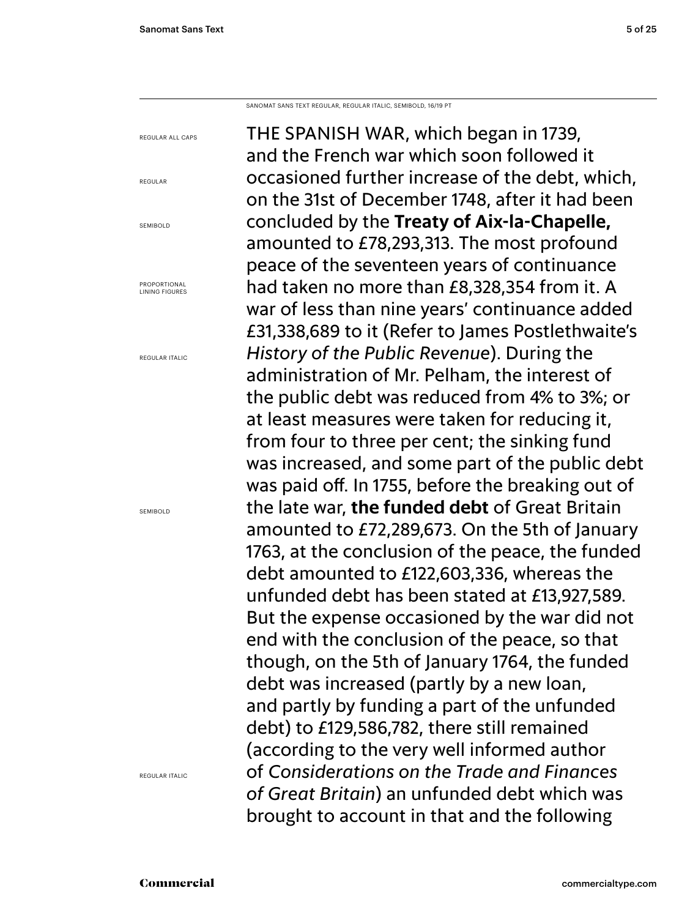Sanomat Sans Text regular, regular italic, semibold, 16/19 PT

regular all caps regular SEMIROLD Proportional Lining figures regular Italic semibold regular Italic

The Spanish War, which began in 1739, and the French war which soon followed it occasioned further increase of the debt, which, on the 31st of December 1748, after it had been concluded by the **Treaty of Aix-la-Chapelle,** amounted to £78,293,313. The most profound peace of the seventeen years of continuance had taken no more than £8,328,354 from it. A war of less than nine years' continuance added £31,338,689 to it (Refer to James Postlethwaite's *History of the Public Revenue*). During the administration of Mr. Pelham, the interest of the public debt was reduced from 4% to 3%; or at least measures were taken for reducing it, from four to three per cent; the sinking fund was increased, and some part of the public debt was paid off. In 1755, before the breaking out of the late war, **the funded debt** of Great Britain amounted to £72,289,673. On the 5th of January 1763, at the conclusion of the peace, the funded debt amounted to £122,603,336, whereas the unfunded debt has been stated at £13,927,589. But the expense occasioned by the war did not end with the conclusion of the peace, so that though, on the 5th of January 1764, the funded debt was increased (partly by a new loan, and partly by funding a part of the unfunded debt) to £129,586,782, there still remained (according to the very well informed author of *Considerations on the Trade and Finances of Great Britain*) an unfunded debt which was brought to account in that and the following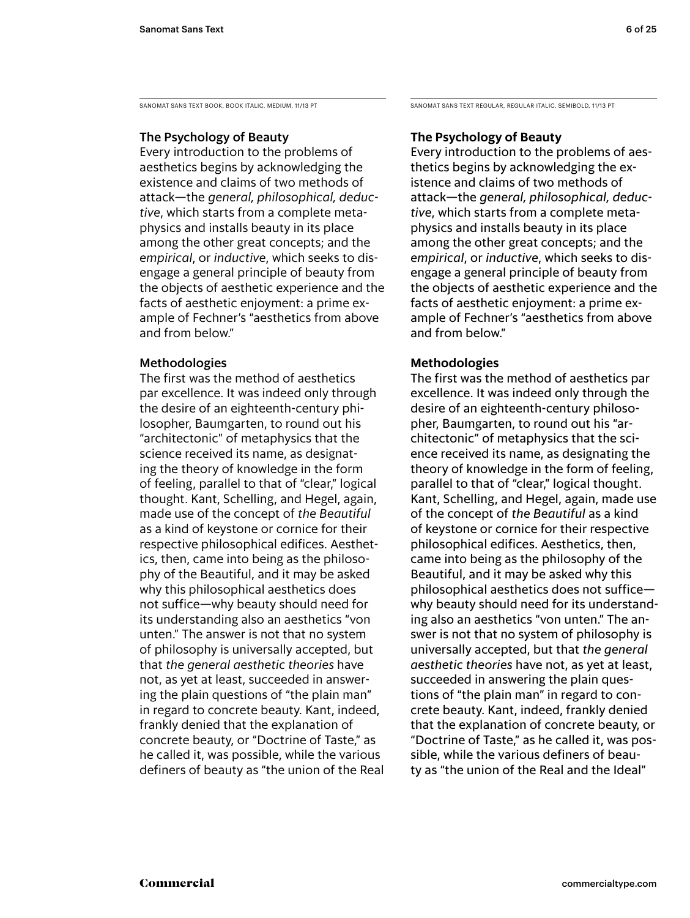Sanomat Sans Text Book, Book Italic, medium, 11/13 PT

# The Psychology of Beauty

Every introduction to the problems of aesthetics begins by acknowledging the existence and claims of two methods of attack—the *general, philosophical, deductive*, which starts from a complete metaphysics and installs beauty in its place among the other great concepts; and the *empirical*, or *inductive*, which seeks to disengage a general principle of beauty from the objects of aesthetic experience and the facts of aesthetic enjoyment: a prime example of Fechner's "aesthetics from above and from below."

# Methodologies

The first was the method of aesthetics par excellence. It was indeed only through the desire of an eighteenth-century philosopher, Baumgarten, to round out his "architectonic" of metaphysics that the science received its name, as designating the theory of knowledge in the form of feeling, parallel to that of "clear," logical thought. Kant, Schelling, and Hegel, again, made use of the concept of *the Beautiful* as a kind of keystone or cornice for their respective philosophical edifices. Aesthetics, then, came into being as the philosophy of the Beautiful, and it may be asked why this philosophical aesthetics does not suffice—why beauty should need for its understanding also an aesthetics "von unten." The answer is not that no system of philosophy is universally accepted, but that *the general aesthetic theories* have not, as yet at least, succeeded in answering the plain questions of "the plain man" in regard to concrete beauty. Kant, indeed, frankly denied that the explanation of concrete beauty, or "Doctrine of Taste," as he called it, was possible, while the various definers of beauty as "the union of the Real Sanomat Sans Text Regular, regular Italic, semiBOLD, 11/13 PT

# **The Psychology of Beauty**

Every introduction to the problems of aesthetics begins by acknowledging the existence and claims of two methods of attack—the *general, philosophical, deductive*, which starts from a complete metaphysics and installs beauty in its place among the other great concepts; and the *empirical*, or *inductive*, which seeks to disengage a general principle of beauty from the objects of aesthetic experience and the facts of aesthetic enjoyment: a prime example of Fechner's "aesthetics from above and from below."

# **Methodologies**

The first was the method of aesthetics par excellence. It was indeed only through the desire of an eighteenth-century philosopher, Baumgarten, to round out his "architectonic" of metaphysics that the science received its name, as designating the theory of knowledge in the form of feeling, parallel to that of "clear," logical thought. Kant, Schelling, and Hegel, again, made use of the concept of *the Beautiful* as a kind of keystone or cornice for their respective philosophical edifices. Aesthetics, then, came into being as the philosophy of the Beautiful, and it may be asked why this philosophical aesthetics does not suffice why beauty should need for its understanding also an aesthetics "von unten." The answer is not that no system of philosophy is universally accepted, but that *the general aesthetic theories* have not, as yet at least, succeeded in answering the plain questions of "the plain man" in regard to concrete beauty. Kant, indeed, frankly denied that the explanation of concrete beauty, or "Doctrine of Taste," as he called it, was possible, while the various definers of beauty as "the union of the Real and the Ideal"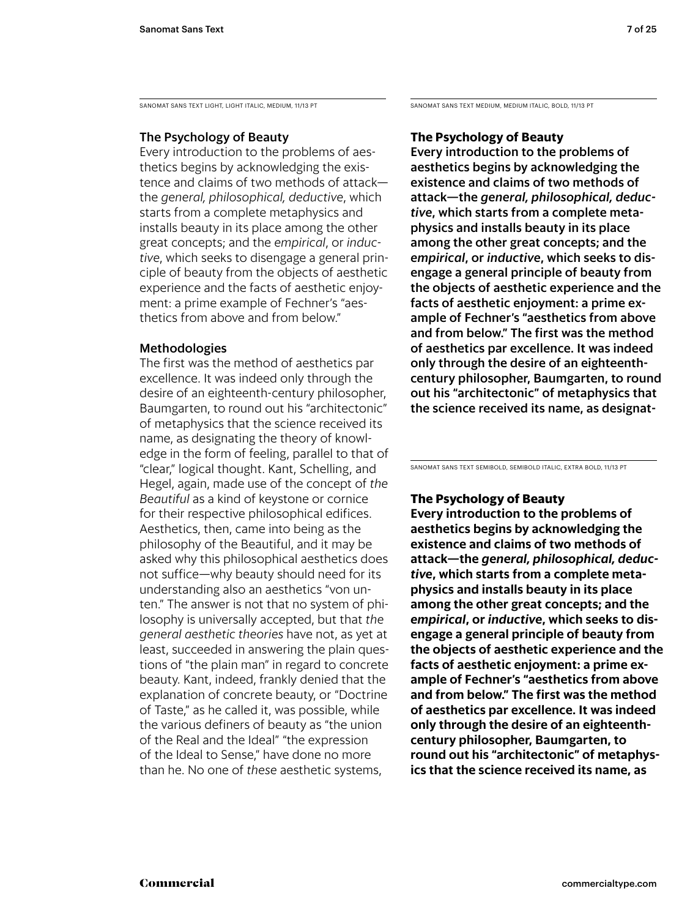SANOMAT SANS TEXT LIGHT, LIGHT ITALIC, MEDIUM, 11/13 PT

# The Psychology of Beauty

Every introduction to the problems of aesthetics begins by acknowledging the existence and claims of two methods of attack the *general, philosophical, deductive*, which starts from a complete metaphysics and installs beauty in its place among the other great concepts; and the *empirical*, or *inductive*, which seeks to disengage a general principle of beauty from the objects of aesthetic experience and the facts of aesthetic enjoyment: a prime example of Fechner's "aesthetics from above and from below."

# Methodologies

The first was the method of aesthetics par excellence. It was indeed only through the desire of an eighteenth-century philosopher, Baumgarten, to round out his "architectonic" of metaphysics that the science received its name, as designating the theory of knowledge in the form of feeling, parallel to that of "clear," logical thought. Kant, Schelling, and Hegel, again, made use of the concept of *the Beautiful* as a kind of keystone or cornice for their respective philosophical edifices. Aesthetics, then, came into being as the philosophy of the Beautiful, and it may be asked why this philosophical aesthetics does not suffice—why beauty should need for its understanding also an aesthetics "von unten." The answer is not that no system of philosophy is universally accepted, but that *the general aesthetic theories* have not, as yet at least, succeeded in answering the plain questions of "the plain man" in regard to concrete beauty. Kant, indeed, frankly denied that the explanation of concrete beauty, or "Doctrine of Taste," as he called it, was possible, while the various definers of beauty as "the union of the Real and the Ideal" "the expression of the Ideal to Sense," have done no more than he. No one of *these* aesthetic systems,

Sanomat Sans Text medium, medium Italic, bold, 11/13 PT

# **The Psychology of Beauty**

Every introduction to the problems of aesthetics begins by acknowledging the existence and claims of two methods of attack—the *general, philosophical, deductive*, which starts from a complete metaphysics and installs beauty in its place among the other great concepts; and the *empirical*, or *inductive*, which seeks to disengage a general principle of beauty from the objects of aesthetic experience and the facts of aesthetic enjoyment: a prime example of Fechner's "aesthetics from above and from below." The first was the method of aesthetics par excellence. It was indeed only through the desire of an eighteenthcentury philosopher, Baumgarten, to round out his "architectonic" of metaphysics that the science received its name, as designat-

Sanomat Sans Text semibold, semibold Italic, extra bold, 11/13 PT

# **The Psychology of Beauty**

**Every introduction to the problems of aesthetics begins by acknowledging the existence and claims of two methods of attack—the** *general, philosophical, deductive***, which starts from a complete metaphysics and installs beauty in its place among the other great concepts; and the**  *empirical***, or** *inductive***, which seeks to disengage a general principle of beauty from the objects of aesthetic experience and the facts of aesthetic enjoyment: a prime example of Fechner's "aesthetics from above and from below." The first was the method of aesthetics par excellence. It was indeed only through the desire of an eighteenthcentury philosopher, Baumgarten, to round out his "architectonic" of metaphysics that the science received its name, as**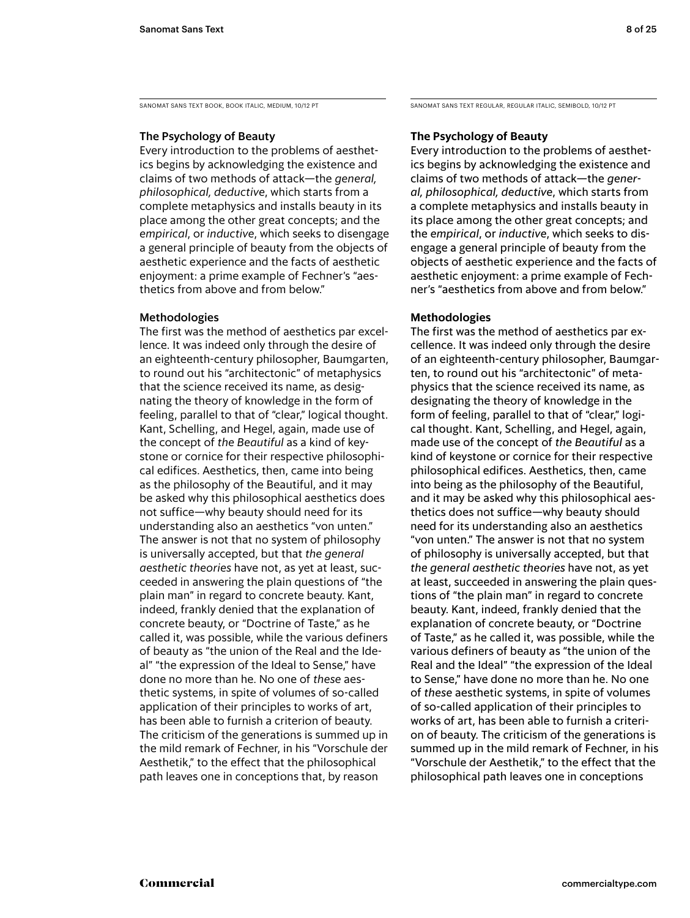Sanomat Sans Text Book, Book Italic, medium, 10/12 PT

# The Psychology of Beauty

Every introduction to the problems of aesthetics begins by acknowledging the existence and claims of two methods of attack—the *general, philosophical, deductive*, which starts from a complete metaphysics and installs beauty in its place among the other great concepts; and the *empirical*, or *inductive*, which seeks to disengage a general principle of beauty from the objects of aesthetic experience and the facts of aesthetic enjoyment: a prime example of Fechner's "aesthetics from above and from below."

# Methodologies

The first was the method of aesthetics par excellence. It was indeed only through the desire of an eighteenth-century philosopher, Baumgarten, to round out his "architectonic" of metaphysics that the science received its name, as designating the theory of knowledge in the form of feeling, parallel to that of "clear," logical thought. Kant, Schelling, and Hegel, again, made use of the concept of *the Beautiful* as a kind of keystone or cornice for their respective philosophical edifices. Aesthetics, then, came into being as the philosophy of the Beautiful, and it may be asked why this philosophical aesthetics does not suffice—why beauty should need for its understanding also an aesthetics "von unten." The answer is not that no system of philosophy is universally accepted, but that *the general aesthetic theories* have not, as yet at least, succeeded in answering the plain questions of "the plain man" in regard to concrete beauty. Kant, indeed, frankly denied that the explanation of concrete beauty, or "Doctrine of Taste," as he called it, was possible, while the various definers of beauty as "the union of the Real and the Ideal" "the expression of the Ideal to Sense," have done no more than he. No one of *these* aesthetic systems, in spite of volumes of so-called application of their principles to works of art, has been able to furnish a criterion of beauty. The criticism of the generations is summed up in the mild remark of Fechner, in his "Vorschule der Aesthetik," to the effect that the philosophical path leaves one in conceptions that, by reason

Sanomat Sans Text Regular, regular Italic, semiBOLD, 10/12 PT

# **The Psychology of Beauty**

Every introduction to the problems of aesthetics begins by acknowledging the existence and claims of two methods of attack—the *general, philosophical, deductive*, which starts from a complete metaphysics and installs beauty in its place among the other great concepts; and the *empirical*, or *inductive*, which seeks to disengage a general principle of beauty from the objects of aesthetic experience and the facts of aesthetic enjoyment: a prime example of Fechner's "aesthetics from above and from below."

# **Methodologies**

The first was the method of aesthetics par excellence. It was indeed only through the desire of an eighteenth-century philosopher, Baumgarten, to round out his "architectonic" of metaphysics that the science received its name, as designating the theory of knowledge in the form of feeling, parallel to that of "clear," logical thought. Kant, Schelling, and Hegel, again, made use of the concept of *the Beautiful* as a kind of keystone or cornice for their respective philosophical edifices. Aesthetics, then, came into being as the philosophy of the Beautiful, and it may be asked why this philosophical aesthetics does not suffice—why beauty should need for its understanding also an aesthetics "von unten." The answer is not that no system of philosophy is universally accepted, but that *the general aesthetic theories* have not, as yet at least, succeeded in answering the plain questions of "the plain man" in regard to concrete beauty. Kant, indeed, frankly denied that the explanation of concrete beauty, or "Doctrine of Taste," as he called it, was possible, while the various definers of beauty as "the union of the Real and the Ideal" "the expression of the Ideal to Sense," have done no more than he. No one of *these* aesthetic systems, in spite of volumes of so-called application of their principles to works of art, has been able to furnish a criterion of beauty. The criticism of the generations is summed up in the mild remark of Fechner, in his "Vorschule der Aesthetik," to the effect that the philosophical path leaves one in conceptions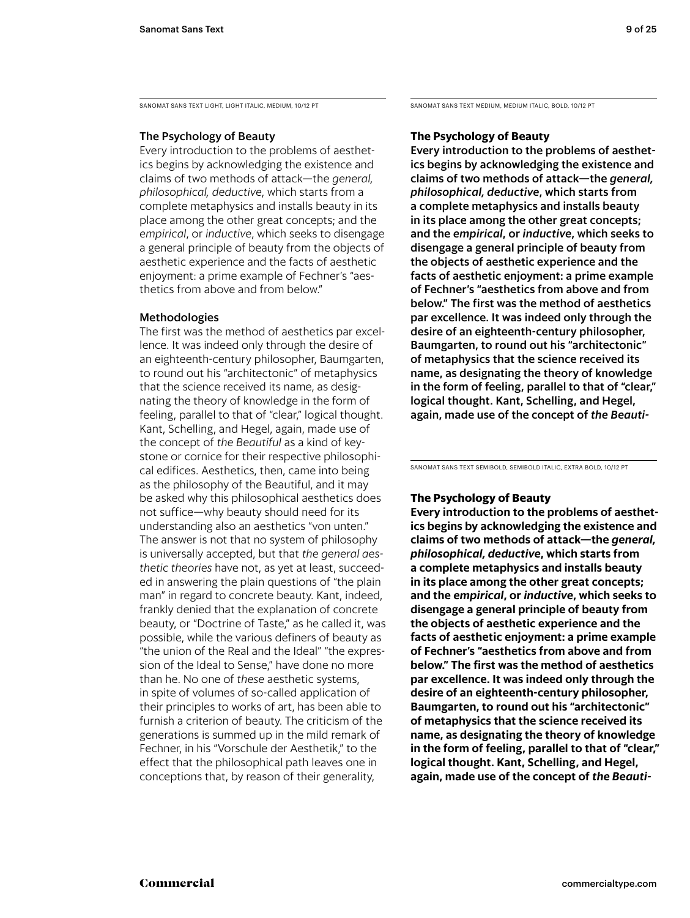SANOMAT SANS TEXT LIGHT, LIGHT ITALIC, MEDIUM, 10/12 PT

# The Psychology of Beauty

Every introduction to the problems of aesthetics begins by acknowledging the existence and claims of two methods of attack—the *general, philosophical, deductive*, which starts from a complete metaphysics and installs beauty in its place among the other great concepts; and the *empirical*, or *inductive*, which seeks to disengage a general principle of beauty from the objects of aesthetic experience and the facts of aesthetic enjoyment: a prime example of Fechner's "aesthetics from above and from below."

# Methodologies

The first was the method of aesthetics par excellence. It was indeed only through the desire of an eighteenth-century philosopher, Baumgarten, to round out his "architectonic" of metaphysics that the science received its name, as designating the theory of knowledge in the form of feeling, parallel to that of "clear," logical thought. Kant, Schelling, and Hegel, again, made use of the concept of *the Beautiful* as a kind of keystone or cornice for their respective philosophical edifices. Aesthetics, then, came into being as the philosophy of the Beautiful, and it may be asked why this philosophical aesthetics does not suffice—why beauty should need for its understanding also an aesthetics "von unten." The answer is not that no system of philosophy is universally accepted, but that *the general aesthetic theories* have not, as yet at least, succeeded in answering the plain questions of "the plain man" in regard to concrete beauty. Kant, indeed, frankly denied that the explanation of concrete beauty, or "Doctrine of Taste," as he called it, was possible, while the various definers of beauty as "the union of the Real and the Ideal" "the expression of the Ideal to Sense," have done no more than he. No one of *these* aesthetic systems, in spite of volumes of so-called application of their principles to works of art, has been able to furnish a criterion of beauty. The criticism of the generations is summed up in the mild remark of Fechner, in his "Vorschule der Aesthetik," to the effect that the philosophical path leaves one in conceptions that, by reason of their generality,

Sanomat Sans Text medium, medium Italic, bold, 10/12 PT

# **The Psychology of Beauty**

Every introduction to the problems of aesthetics begins by acknowledging the existence and claims of two methods of attack—the *general, philosophical, deductive*, which starts from a complete metaphysics and installs beauty in its place among the other great concepts; and the *empirical*, or *inductive*, which seeks to disengage a general principle of beauty from the objects of aesthetic experience and the facts of aesthetic enjoyment: a prime example of Fechner's "aesthetics from above and from below." The first was the method of aesthetics par excellence. It was indeed only through the desire of an eighteenth-century philosopher, Baumgarten, to round out his "architectonic" of metaphysics that the science received its name, as designating the theory of knowledge in the form of feeling, parallel to that of "clear," logical thought. Kant, Schelling, and Hegel, again, made use of the concept of *the Beauti-*

Sanomat Sans Text semibold, semibold Italic, extra bold, 10/12 PT

# **The Psychology of Beauty**

**Every introduction to the problems of aesthetics begins by acknowledging the existence and claims of two methods of attack—the** *general, philosophical, deductive***, which starts from a complete metaphysics and installs beauty in its place among the other great concepts; and the** *empirical***, or** *inductive***, which seeks to disengage a general principle of beauty from the objects of aesthetic experience and the facts of aesthetic enjoyment: a prime example of Fechner's "aesthetics from above and from below." The first was the method of aesthetics par excellence. It was indeed only through the desire of an eighteenth-century philosopher, Baumgarten, to round out his "architectonic" of metaphysics that the science received its name, as designating the theory of knowledge in the form of feeling, parallel to that of "clear," logical thought. Kant, Schelling, and Hegel, again, made use of the concept of** *the Beauti-*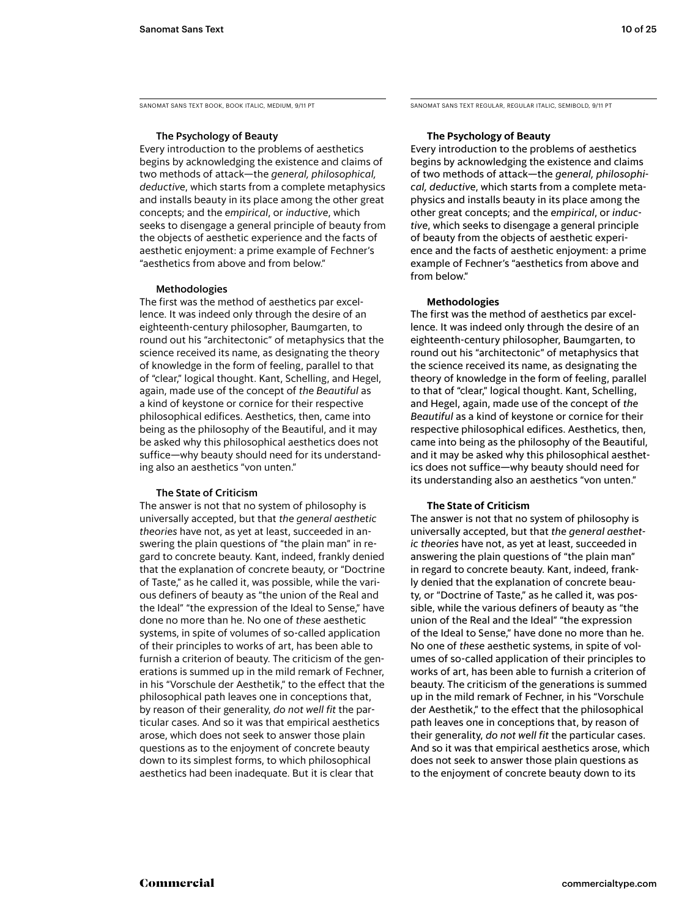Sanomat Sans Text Book, Book Italic, medium, 9/11 PT

## The Psychology of Beauty

Every introduction to the problems of aesthetics begins by acknowledging the existence and claims of two methods of attack—the *general, philosophical, deductive*, which starts from a complete metaphysics and installs beauty in its place among the other great concepts; and the *empirical*, or *inductive*, which seeks to disengage a general principle of beauty from the objects of aesthetic experience and the facts of aesthetic enjoyment: a prime example of Fechner's "aesthetics from above and from below."

### Methodologies

The first was the method of aesthetics par excellence. It was indeed only through the desire of an eighteenth-century philosopher, Baumgarten, to round out his "architectonic" of metaphysics that the science received its name, as designating the theory of knowledge in the form of feeling, parallel to that of "clear," logical thought. Kant, Schelling, and Hegel, again, made use of the concept of *the Beautiful* as a kind of keystone or cornice for their respective philosophical edifices. Aesthetics, then, came into being as the philosophy of the Beautiful, and it may be asked why this philosophical aesthetics does not suffice—why beauty should need for its understanding also an aesthetics "von unten."

### The State of Criticism

The answer is not that no system of philosophy is universally accepted, but that *the general aesthetic theories* have not, as yet at least, succeeded in answering the plain questions of "the plain man" in regard to concrete beauty. Kant, indeed, frankly denied that the explanation of concrete beauty, or "Doctrine of Taste," as he called it, was possible, while the various definers of beauty as "the union of the Real and the Ideal" "the expression of the Ideal to Sense," have done no more than he. No one of *these* aesthetic systems, in spite of volumes of so-called application of their principles to works of art, has been able to furnish a criterion of beauty. The criticism of the generations is summed up in the mild remark of Fechner, in his "Vorschule der Aesthetik," to the effect that the philosophical path leaves one in conceptions that, by reason of their generality, *do not well fit* the particular cases. And so it was that empirical aesthetics arose, which does not seek to answer those plain questions as to the enjoyment of concrete beauty down to its simplest forms, to which philosophical aesthetics had been inadequate. But it is clear that

Sanomat Sans Text Regular, regular Italic, semiBOLD, 9/11 PT

### **The Psychology of Beauty**

Every introduction to the problems of aesthetics begins by acknowledging the existence and claims of two methods of attack—the *general, philosophical, deductive*, which starts from a complete metaphysics and installs beauty in its place among the other great concepts; and the *empirical*, or *inductive*, which seeks to disengage a general principle of beauty from the objects of aesthetic experience and the facts of aesthetic enjoyment: a prime example of Fechner's "aesthetics from above and from below."

### **Methodologies**

The first was the method of aesthetics par excellence. It was indeed only through the desire of an eighteenth-century philosopher, Baumgarten, to round out his "architectonic" of metaphysics that the science received its name, as designating the theory of knowledge in the form of feeling, parallel to that of "clear," logical thought. Kant, Schelling, and Hegel, again, made use of the concept of *the Beautiful* as a kind of keystone or cornice for their respective philosophical edifices. Aesthetics, then, came into being as the philosophy of the Beautiful, and it may be asked why this philosophical aesthetics does not suffice—why beauty should need for its understanding also an aesthetics "von unten."

### **The State of Criticism**

The answer is not that no system of philosophy is universally accepted, but that *the general aesthetic theories* have not, as yet at least, succeeded in answering the plain questions of "the plain man" in regard to concrete beauty. Kant, indeed, frankly denied that the explanation of concrete beauty, or "Doctrine of Taste," as he called it, was possible, while the various definers of beauty as "the union of the Real and the Ideal" "the expression of the Ideal to Sense," have done no more than he. No one of *these* aesthetic systems, in spite of volumes of so-called application of their principles to works of art, has been able to furnish a criterion of beauty. The criticism of the generations is summed up in the mild remark of Fechner, in his "Vorschule der Aesthetik," to the effect that the philosophical path leaves one in conceptions that, by reason of their generality, *do not well fit* the particular cases. And so it was that empirical aesthetics arose, which does not seek to answer those plain questions as to the enjoyment of concrete beauty down to its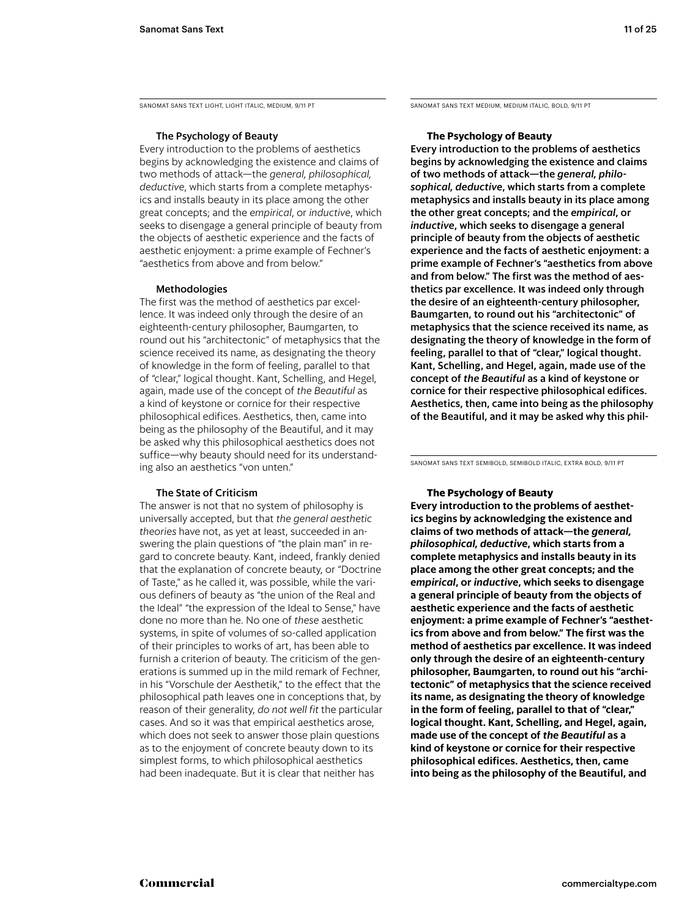Sanomat Sans Text Light, light Italic, medium, 9/11 PT

## The Psychology of Beauty

Every introduction to the problems of aesthetics begins by acknowledging the existence and claims of two methods of attack—the *general, philosophical, deductive*, which starts from a complete metaphysics and installs beauty in its place among the other great concepts; and the *empirical*, or *inductive*, which seeks to disengage a general principle of beauty from the objects of aesthetic experience and the facts of aesthetic enjoyment: a prime example of Fechner's "aesthetics from above and from below."

### Methodologies

The first was the method of aesthetics par excellence. It was indeed only through the desire of an eighteenth-century philosopher, Baumgarten, to round out his "architectonic" of metaphysics that the science received its name, as designating the theory of knowledge in the form of feeling, parallel to that of "clear," logical thought. Kant, Schelling, and Hegel, again, made use of the concept of *the Beautiful* as a kind of keystone or cornice for their respective philosophical edifices. Aesthetics, then, came into being as the philosophy of the Beautiful, and it may be asked why this philosophical aesthetics does not suffice—why beauty should need for its understanding also an aesthetics "von unten."

### The State of Criticism

The answer is not that no system of philosophy is universally accepted, but that *the general aesthetic theories* have not, as yet at least, succeeded in answering the plain questions of "the plain man" in regard to concrete beauty. Kant, indeed, frankly denied that the explanation of concrete beauty, or "Doctrine of Taste," as he called it, was possible, while the various definers of beauty as "the union of the Real and the Ideal" "the expression of the Ideal to Sense." have done no more than he. No one of *these* aesthetic systems, in spite of volumes of so-called application of their principles to works of art, has been able to furnish a criterion of beauty. The criticism of the generations is summed up in the mild remark of Fechner, in his "Vorschule der Aesthetik," to the effect that the philosophical path leaves one in conceptions that, by reason of their generality, *do not well fit* the particular cases. And so it was that empirical aesthetics arose, which does not seek to answer those plain questions as to the enjoyment of concrete beauty down to its simplest forms, to which philosophical aesthetics had been inadequate. But it is clear that neither has

Sanomat Sans Text medium, medium Italic, bold, 9/11 PT

### **The Psychology of Beauty**

Every introduction to the problems of aesthetics begins by acknowledging the existence and claims of two methods of attack—the *general, philosophical, deductive*, which starts from a complete metaphysics and installs beauty in its place among the other great concepts; and the *empirical*, or *inductive*, which seeks to disengage a general principle of beauty from the objects of aesthetic experience and the facts of aesthetic enjoyment: a prime example of Fechner's "aesthetics from above and from below." The first was the method of aesthetics par excellence. It was indeed only through the desire of an eighteenth-century philosopher, Baumgarten, to round out his "architectonic" of metaphysics that the science received its name, as designating the theory of knowledge in the form of feeling, parallel to that of "clear," logical thought. Kant, Schelling, and Hegel, again, made use of the concept of *the Beautiful* as a kind of keystone or cornice for their respective philosophical edifices. Aesthetics, then, came into being as the philosophy of the Beautiful, and it may be asked why this phil-

Sanomat Sans Text semibold, semibold Italic, extra bold, 9/11 PT

### **The Psychology of Beauty**

**Every introduction to the problems of aesthetics begins by acknowledging the existence and claims of two methods of attack—the** *general, philosophical, deductive***, which starts from a complete metaphysics and installs beauty in its place among the other great concepts; and the**  *empirical***, or** *inductive***, which seeks to disengage a general principle of beauty from the objects of aesthetic experience and the facts of aesthetic enjoyment: a prime example of Fechner's "aesthetics from above and from below." The first was the method of aesthetics par excellence. It was indeed only through the desire of an eighteenth-century philosopher, Baumgarten, to round out his "architectonic" of metaphysics that the science received its name, as designating the theory of knowledge in the form of feeling, parallel to that of "clear," logical thought. Kant, Schelling, and Hegel, again, made use of the concept of** *the Beautiful* **as a kind of keystone or cornice for their respective philosophical edifices. Aesthetics, then, came into being as the philosophy of the Beautiful, and**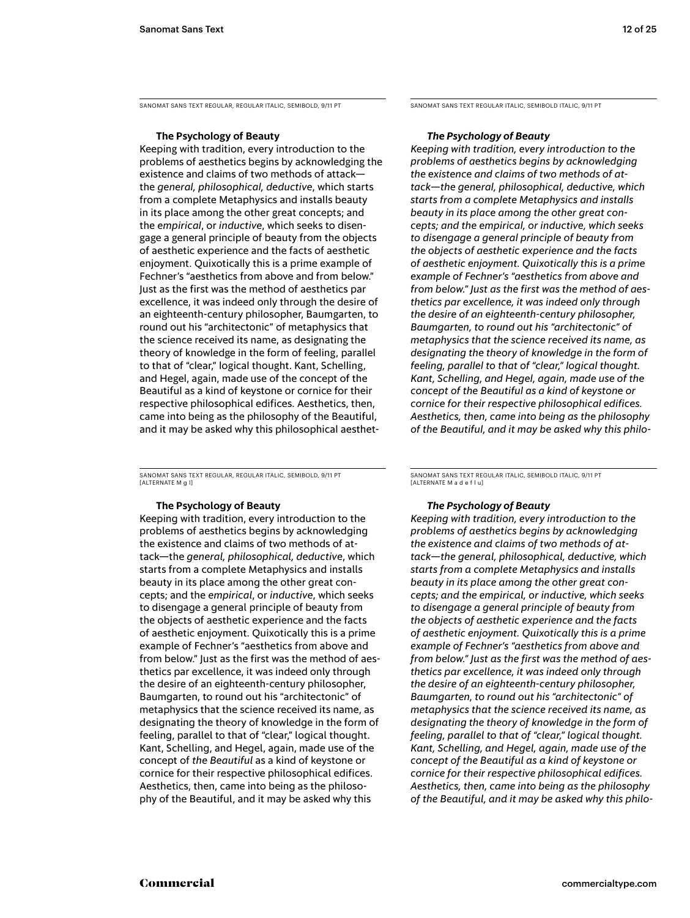Sanomat Sans Text regular, regular Italic, semibold, 9/11 PT

### **The Psychology of Beauty**

Keeping with tradition, every introduction to the problems of aesthetics begins by acknowledging the existence and claims of two methods of attack the *general, philosophical, deductive*, which starts from a complete Metaphysics and installs beauty in its place among the other great concepts; and the *empirical*, or *inductive*, which seeks to disengage a general principle of beauty from the objects of aesthetic experience and the facts of aesthetic enjoyment. Quixotically this is a prime example of Fechner's "aesthetics from above and from below." Just as the first was the method of aesthetics par excellence, it was indeed only through the desire of an eighteenth-century philosopher, Baumgarten, to round out his "architectonic" of metaphysics that the science received its name, as designating the theory of knowledge in the form of feeling, parallel to that of "clear," logical thought. Kant, Schelling, and Hegel, again, made use of the concept of the Beautiful as a kind of keystone or cornice for their respective philosophical edifices. Aesthetics, then, came into being as the philosophy of the Beautiful, and it may be asked why this philosophical aesthet-

Sanomat Sans Text regular, regular Italic, semibold, 9/11 PT [ALTERNATE M g l]

# **The Psychology of Beauty**

Keeping with tradition, every introduction to the problems of aesthetics begins by acknowledging the existence and claims of two methods of attack—the *general, philosophical, deductive*, which starts from a complete Metaphysics and installs beauty in its place among the other great concepts; and the *empirical*, or *inductive*, which seeks to disengage a general principle of beauty from the objects of aesthetic experience and the facts of aesthetic enjoyment. Quixotically this is a prime example of Fechner's "aesthetics from above and from below." Just as the first was the method of aesthetics par excellence, it was indeed only through the desire of an eighteenth-century philosopher, Baumgarten, to round out his "architectonic" of metaphysics that the science received its name, as designating the theory of knowledge in the form of feeling, parallel to that of "clear," logical thought. Kant, Schelling, and Hegel, again, made use of the concept of *the Beautiful* as a kind of keystone or cornice for their respective philosophical edifices. Aesthetics, then, came into being as the philosophy of the Beautiful, and it may be asked why this

Sanomat Sans Text regular Italic, semibold italic, 9/11 PT

### *The Psychology of Beauty*

*Keeping with tradition, every introduction to the problems of aesthetics begins by acknowledging the existence and claims of two methods of attack—the general, philosophical, deductive, which starts from a complete Metaphysics and installs beauty in its place among the other great concepts; and the empirical, or inductive, which seeks to disengage a general principle of beauty from the objects of aesthetic experience and the facts of aesthetic enjoyment. Quixotically this is a prime example of Fechner's "aesthetics from above and from below." Just as the first was the method of aesthetics par excellence, it was indeed only through the desire of an eighteenth-century philosopher, Baumgarten, to round out his "architectonic" of metaphysics that the science received its name, as designating the theory of knowledge in the form of feeling, parallel to that of "clear," logical thought. Kant, Schelling, and Hegel, again, made use of the concept of the Beautiful as a kind of keystone or cornice for their respective philosophical edifices. Aesthetics, then, came into being as the philosophy of the Beautiful, and it may be asked why this philo-*

Sanomat Sans Text regular Italic, semibold italic, 9/11 PT [alternate M a d e f l u]

### *The Psychology of Beauty*

*Keeping with tradition, every introduction to the problems of aesthetics begins by acknowledging the existence and claims of two methods of attack—the general, philosophical, deductive, which starts from a complete Metaphysics and installs beauty in its place among the other great concepts; and the empirical, or inductive, which seeks to disengage a general principle of beauty from the objects of aesthetic experience and the facts of aesthetic enjoyment. Quixotically this is a prime example of Fechner's "aesthetics from above and from below." Just as the first was the method of aesthetics par excellence, it was indeed only through the desire of an eighteenth-century philosopher, Baumgarten, to round out his "architectonic" of metaphysics that the science received its name, as designating the theory of knowledge in the form of feeling, parallel to that of "clear," logical thought. Kant, Schelling, and Hegel, again, made use of the concept of the Beautiful as a kind of keystone or cornice for their respective philosophical edifices. Aesthetics, then, came into being as the philosophy of the Beautiful, and it may be asked why this philo-*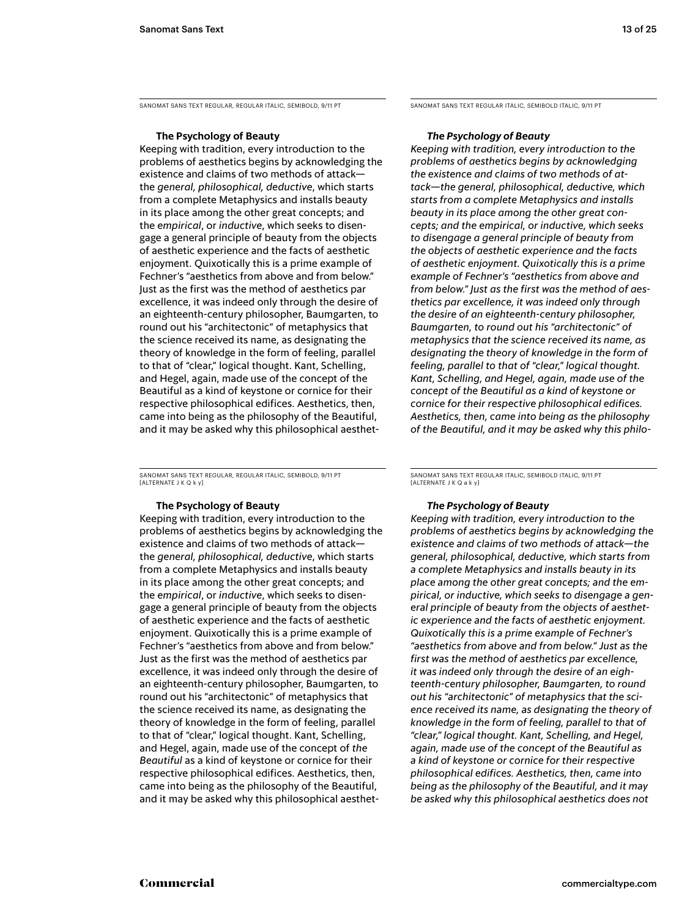Sanomat Sans Text regular, regular Italic, semibold, 9/11 PT

### **The Psychology of Beauty**

Keeping with tradition, every introduction to the problems of aesthetics begins by acknowledging the existence and claims of two methods of attack the *general, philosophical, deductive*, which starts from a complete Metaphysics and installs beauty in its place among the other great concepts; and the *empirical*, or *inductive*, which seeks to disengage a general principle of beauty from the objects of aesthetic experience and the facts of aesthetic enjoyment. Quixotically this is a prime example of Fechner's "aesthetics from above and from below." Just as the first was the method of aesthetics par excellence, it was indeed only through the desire of an eighteenth-century philosopher, Baumgarten, to round out his "architectonic" of metaphysics that the science received its name, as designating the theory of knowledge in the form of feeling, parallel to that of "clear," logical thought. Kant, Schelling, and Hegel, again, made use of the concept of the Beautiful as a kind of keystone or cornice for their respective philosophical edifices. Aesthetics, then, came into being as the philosophy of the Beautiful, and it may be asked why this philosophical aesthet-

Sanomat Sans Text regular, regular Italic, semibold, 9/11 PT [alternate J k q k y]

### **The Psychology of Beauty**

Keeping with tradition, every introduction to the problems of aesthetics begins by acknowledging the existence and claims of two methods of attack the *general, philosophical, deductive*, which starts from a complete Metaphysics and installs beauty in its place among the other great concepts; and the *empirical*, or *inductive*, which seeks to disengage a general principle of beauty from the objects of aesthetic experience and the facts of aesthetic enjoyment. Quixotically this is a prime example of Fechner's "aesthetics from above and from below." Just as the first was the method of aesthetics par excellence, it was indeed only through the desire of an eighteenth-century philosopher, Baumgarten, to round out his "architectonic" of metaphysics that the science received its name, as designating the theory of knowledge in the form of feeling, parallel to that of "clear," logical thought. Kant, Schelling, and Hegel, again, made use of the concept of *the Beautiful* as a kind of keystone or cornice for their respective philosophical edifices. Aesthetics, then, came into being as the philosophy of the Beautiful, and it may be asked why this philosophical aesthetSanomat Sans Text regular Italic, semibold italic, 9/11 PT

### *The Psychology of Beauty*

*Keeping with tradition, every introduction to the problems of aesthetics begins by acknowledging the existence and claims of two methods of attack—the general, philosophical, deductive, which starts from a complete Metaphysics and installs beauty in its place among the other great concepts; and the empirical, or inductive, which seeks to disengage a general principle of beauty from the objects of aesthetic experience and the facts of aesthetic enjoyment. Quixotically this is a prime example of Fechner's "aesthetics from above and from below." Just as the first was the method of aesthetics par excellence, it was indeed only through the desire of an eighteenth-century philosopher, Baumgarten, to round out his "architectonic" of metaphysics that the science received its name, as designating the theory of knowledge in the form of feeling, parallel to that of "clear," logical thought. Kant, Schelling, and Hegel, again, made use of the concept of the Beautiful as a kind of keystone or cornice for their respective philosophical edifices. Aesthetics, then, came into being as the philosophy of the Beautiful, and it may be asked why this philo-*

Sanomat Sans Text regular Italic, semibold italic, 9/11 PT [alternate j k q a k y]

# *The Psychology of Beauty*

*Keeping with tradition, every introduction to the problems of aesthetics begins by acknowledging the existence and claims of two methods of attack—the general, philosophical, deductive, which starts from a complete Metaphysics and installs beauty in its place among the other great concepts; and the empirical, or inductive, which seeks to disengage a general principle of beauty from the objects of aesthetic experience and the facts of aesthetic enjoyment. Quixotically this is a prime example of Fechner's "aesthetics from above and from below." Just as the first was the method of aesthetics par excellence, it was indeed only through the desire of an eighteenth-century philosopher, Baumgarten, to round out his "architectonic" of metaphysics that the science received its name, as designating the theory of knowledge in the form of feeling, parallel to that of "clear," logical thought. Kant, Schelling, and Hegel, again, made use of the concept of the Beautiful as a kind of keystone or cornice for their respective philosophical edifices. Aesthetics, then, came into being as the philosophy of the Beautiful, and it may be asked why this philosophical aesthetics does not*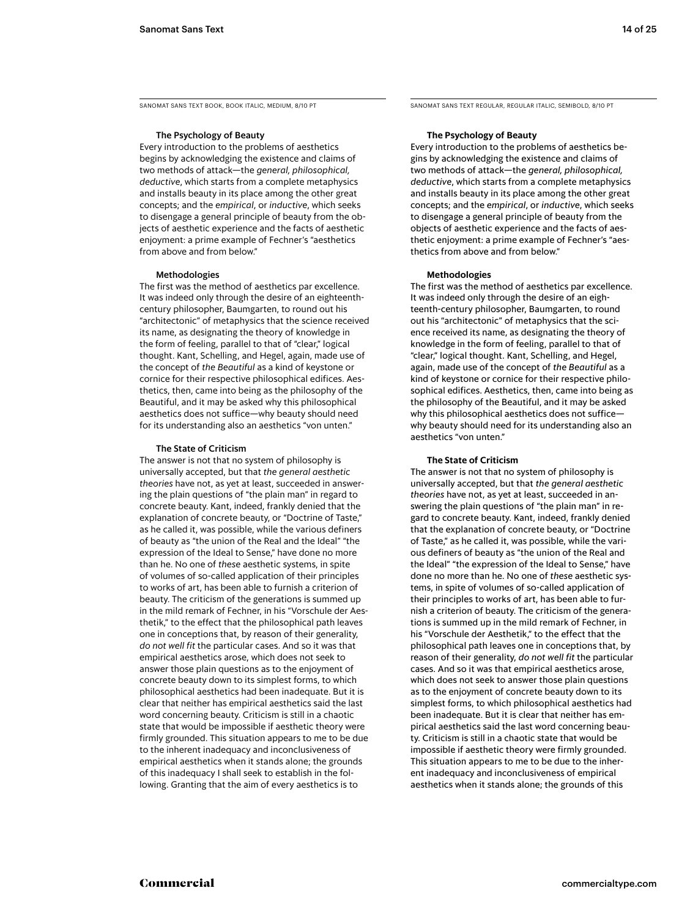Sanomat Sans Text Book, Book Italic, medium, 8/10 PT

# The Psychology of Beauty

Every introduction to the problems of aesthetics begins by acknowledging the existence and claims of two methods of attack—the *general, philosophical, deductive*, which starts from a complete metaphysics and installs beauty in its place among the other great concepts; and the *empirical*, or *inductive*, which seeks to disengage a general principle of beauty from the objects of aesthetic experience and the facts of aesthetic enjoyment: a prime example of Fechner's "aesthetics from above and from below."

### Methodologies

The first was the method of aesthetics par excellence. It was indeed only through the desire of an eighteenthcentury philosopher, Baumgarten, to round out his "architectonic" of metaphysics that the science received its name, as designating the theory of knowledge in the form of feeling, parallel to that of "clear," logical thought. Kant, Schelling, and Hegel, again, made use of the concept of *the Beautiful* as a kind of keystone or cornice for their respective philosophical edifices. Aesthetics, then, came into being as the philosophy of the Beautiful, and it may be asked why this philosophical aesthetics does not suffice—why beauty should need for its understanding also an aesthetics "von unten."

### The State of Criticism

The answer is not that no system of philosophy is universally accepted, but that *the general aesthetic theories* have not, as yet at least, succeeded in answering the plain questions of "the plain man" in regard to concrete beauty. Kant, indeed, frankly denied that the explanation of concrete beauty, or "Doctrine of Taste," as he called it, was possible, while the various definers of beauty as "the union of the Real and the Ideal" "the expression of the Ideal to Sense," have done no more than he. No one of *these* aesthetic systems, in spite of volumes of so-called application of their principles to works of art, has been able to furnish a criterion of beauty. The criticism of the generations is summed up in the mild remark of Fechner, in his "Vorschule der Aesthetik," to the effect that the philosophical path leaves one in conceptions that, by reason of their generality, *do not well fit* the particular cases. And so it was that empirical aesthetics arose, which does not seek to answer those plain questions as to the enjoyment of concrete beauty down to its simplest forms, to which philosophical aesthetics had been inadequate. But it is clear that neither has empirical aesthetics said the last word concerning beauty. Criticism is still in a chaotic state that would be impossible if aesthetic theory were firmly grounded. This situation appears to me to be due to the inherent inadequacy and inconclusiveness of empirical aesthetics when it stands alone; the grounds of this inadequacy I shall seek to establish in the following. Granting that the aim of every aesthetics is to

Sanomat Sans Text Regular, regular Italic, semiBOLD, 8/10 PT

### **The Psychology of Beauty**

Every introduction to the problems of aesthetics begins by acknowledging the existence and claims of two methods of attack—the *general, philosophical, deductive*, which starts from a complete metaphysics and installs beauty in its place among the other great concepts; and the *empirical*, or *inductive*, which seeks to disengage a general principle of beauty from the objects of aesthetic experience and the facts of aesthetic enjoyment: a prime example of Fechner's "aesthetics from above and from below."

### **Methodologies**

The first was the method of aesthetics par excellence. It was indeed only through the desire of an eighteenth-century philosopher, Baumgarten, to round out his "architectonic" of metaphysics that the science received its name, as designating the theory of knowledge in the form of feeling, parallel to that of "clear," logical thought. Kant, Schelling, and Hegel, again, made use of the concept of *the Beautiful* as a kind of keystone or cornice for their respective philosophical edifices. Aesthetics, then, came into being as the philosophy of the Beautiful, and it may be asked why this philosophical aesthetics does not suffice why beauty should need for its understanding also an aesthetics "von unten."

### **The State of Criticism**

The answer is not that no system of philosophy is universally accepted, but that *the general aesthetic theories* have not, as yet at least, succeeded in answering the plain questions of "the plain man" in regard to concrete beauty. Kant, indeed, frankly denied that the explanation of concrete beauty, or "Doctrine of Taste," as he called it, was possible, while the various definers of beauty as "the union of the Real and the Ideal" "the expression of the Ideal to Sense," have done no more than he. No one of *these* aesthetic systems, in spite of volumes of so-called application of their principles to works of art, has been able to furnish a criterion of beauty. The criticism of the generations is summed up in the mild remark of Fechner, in his "Vorschule der Aesthetik," to the effect that the philosophical path leaves one in conceptions that, by reason of their generality, *do not well fit* the particular cases. And so it was that empirical aesthetics arose, which does not seek to answer those plain questions as to the enjoyment of concrete beauty down to its simplest forms, to which philosophical aesthetics had been inadequate. But it is clear that neither has empirical aesthetics said the last word concerning beauty. Criticism is still in a chaotic state that would be impossible if aesthetic theory were firmly grounded. This situation appears to me to be due to the inherent inadequacy and inconclusiveness of empirical aesthetics when it stands alone; the grounds of this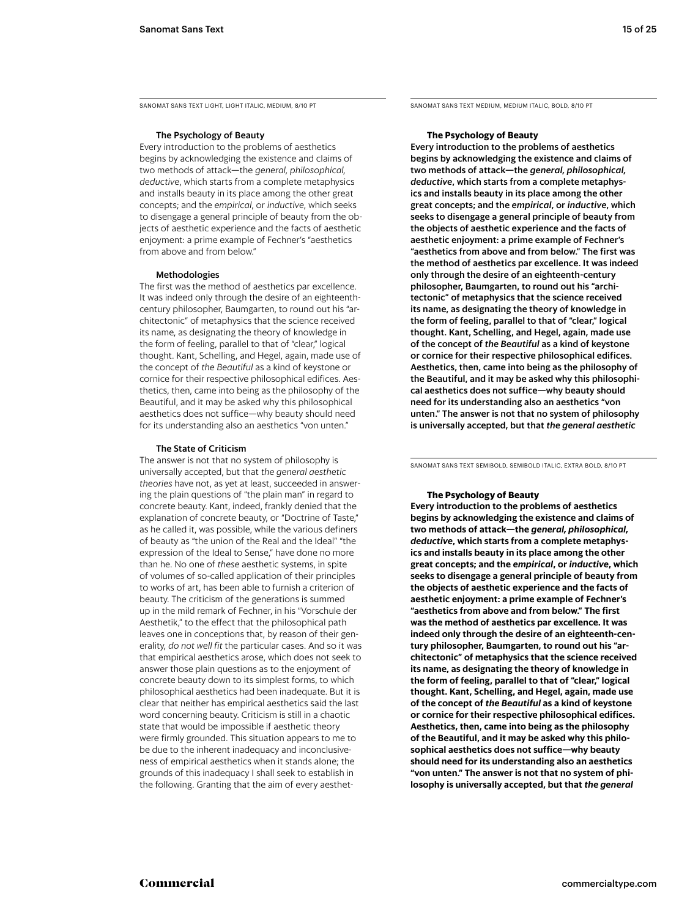Sanomat Sans Text Light, light Italic, medium, 8/10 PT

# The Psychology of Beauty

Every introduction to the problems of aesthetics begins by acknowledging the existence and claims of two methods of attack—the *general, philosophical, deductive*, which starts from a complete metaphysics and installs beauty in its place among the other great concepts; and the *empirical*, or *inductive*, which seeks to disengage a general principle of beauty from the objects of aesthetic experience and the facts of aesthetic enjoyment: a prime example of Fechner's "aesthetics from above and from below."

### Methodologies

The first was the method of aesthetics par excellence. It was indeed only through the desire of an eighteenthcentury philosopher, Baumgarten, to round out his "architectonic" of metaphysics that the science received its name, as designating the theory of knowledge in the form of feeling, parallel to that of "clear," logical thought. Kant, Schelling, and Hegel, again, made use of the concept of *the Beautiful* as a kind of keystone or cornice for their respective philosophical edifices. Aesthetics, then, came into being as the philosophy of the Beautiful, and it may be asked why this philosophical aesthetics does not suffice—why beauty should need for its understanding also an aesthetics "von unten."

### The State of Criticism

The answer is not that no system of philosophy is universally accepted, but that *the general aesthetic theories* have not, as yet at least, succeeded in answering the plain questions of "the plain man" in regard to concrete beauty. Kant, indeed, frankly denied that the explanation of concrete beauty, or "Doctrine of Taste," as he called it, was possible, while the various definers of beauty as "the union of the Real and the Ideal" "the expression of the Ideal to Sense," have done no more than he. No one of *these* aesthetic systems, in spite of volumes of so-called application of their principles to works of art, has been able to furnish a criterion of beauty. The criticism of the generations is summed up in the mild remark of Fechner, in his "Vorschule der Aesthetik," to the effect that the philosophical path leaves one in conceptions that, by reason of their generality, *do not well fit* the particular cases. And so it was that empirical aesthetics arose, which does not seek to answer those plain questions as to the enjoyment of concrete beauty down to its simplest forms, to which philosophical aesthetics had been inadequate. But it is clear that neither has empirical aesthetics said the last word concerning beauty. Criticism is still in a chaotic state that would be impossible if aesthetic theory were firmly grounded. This situation appears to me to be due to the inherent inadequacy and inconclusiveness of empirical aesthetics when it stands alone; the grounds of this inadequacy I shall seek to establish in the following. Granting that the aim of every aesthetSanomat Sans Text medium, medium Italic, bold, 8/10 PT

### **The Psychology of Beauty**

Every introduction to the problems of aesthetics begins by acknowledging the existence and claims of two methods of attack—the *general, philosophical, deductive*, which starts from a complete metaphysics and installs beauty in its place among the other great concepts; and the *empirical*, or *inductive*, which seeks to disengage a general principle of beauty from the objects of aesthetic experience and the facts of aesthetic enjoyment: a prime example of Fechner's "aesthetics from above and from below." The first was the method of aesthetics par excellence. It was indeed only through the desire of an eighteenth-century philosopher, Baumgarten, to round out his "architectonic" of metaphysics that the science received its name, as designating the theory of knowledge in the form of feeling, parallel to that of "clear," logical thought. Kant, Schelling, and Hegel, again, made use of the concept of *the Beautiful* as a kind of keystone or cornice for their respective philosophical edifices. Aesthetics, then, came into being as the philosophy of the Beautiful, and it may be asked why this philosophical aesthetics does not suffice—why beauty should need for its understanding also an aesthetics "von unten." The answer is not that no system of philosophy is universally accepted, but that *the general aesthetic* 

Sanomat Sans Text semibold, semibold Italic, extra bold, 8/10 PT

## **The Psychology of Beauty**

**Every introduction to the problems of aesthetics begins by acknowledging the existence and claims of two methods of attack—the** *general, philosophical, deductive***, which starts from a complete metaphysics and installs beauty in its place among the other great concepts; and the** *empirical***, or** *inductive***, which seeks to disengage a general principle of beauty from the objects of aesthetic experience and the facts of aesthetic enjoyment: a prime example of Fechner's "aesthetics from above and from below." The first was the method of aesthetics par excellence. It was indeed only through the desire of an eighteenth-century philosopher, Baumgarten, to round out his "architectonic" of metaphysics that the science received its name, as designating the theory of knowledge in the form of feeling, parallel to that of "clear," logical thought. Kant, Schelling, and Hegel, again, made use of the concept of** *the Beautiful* **as a kind of keystone or cornice for their respective philosophical edifices. Aesthetics, then, came into being as the philosophy of the Beautiful, and it may be asked why this philosophical aesthetics does not suffice—why beauty should need for its understanding also an aesthetics "von unten." The answer is not that no system of philosophy is universally accepted, but that** *the general*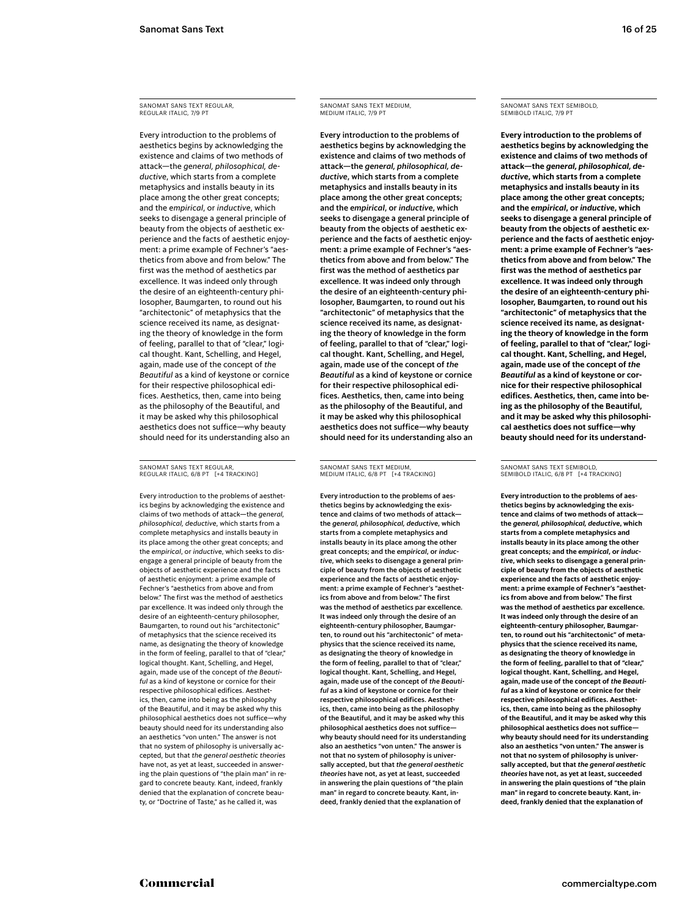Every introduction to the problems of aesthetics begins by acknowledging the existence and claims of two methods of attack—the *general, philosophical, deductive*, which starts from a complete metaphysics and installs beauty in its place among the other great concepts; and the *empirical*, or *inductive*, which seeks to disengage a general principle of beauty from the objects of aesthetic experience and the facts of aesthetic enjoyment: a prime example of Fechner's "aesthetics from above and from below." The first was the method of aesthetics par excellence. It was indeed only through the desire of an eighteenth-century philosopher, Baumgarten, to round out his "architectonic" of metaphysics that the science received its name, as designating the theory of knowledge in the form of feeling, parallel to that of "clear," logical thought. Kant, Schelling, and Hegel, again, made use of the concept of *the Beautiful* as a kind of keystone or cornice for their respective philosophical edifices. Aesthetics, then, came into being as the philosophy of the Beautiful, and it may be asked why this philosophical aesthetics does not suffice—why beauty should need for its understanding also an

SANOMAT SANS TEXT REGULAR Regular italic, 6/8 PT [+4 tracking]

Every introduction to the problems of aesthetics begins by acknowledging the existence and claims of two methods of attack—the *general, philosophical, deductive*, which starts from a complete metaphysics and installs beauty in its place among the other great concepts; and the *empirical*, or *inductive*, which seeks to disengage a general principle of beauty from the objects of aesthetic experience and the facts of aesthetic enjoyment: a prime example of Fechner's "aesthetics from above and from below." The first was the method of aesthetics par excellence. It was indeed only through the desire of an eighteenth-century philosopher, Baumgarten, to round out his "architectonic" of metaphysics that the science received its name, as designating the theory of knowledge in the form of feeling, parallel to that of "clear," logical thought. Kant, Schelling, and Hegel, again, made use of the concept of *the Beautiful* as a kind of keystone or cornice for their respective philosophical edifices. Aesthetics, then, came into being as the philosophy of the Beautiful, and it may be asked why this philosophical aesthetics does not suffice—why beauty should need for its understanding also an aesthetics "von unten." The answer is not that no system of philosophy is universally accepted, but that *the general aesthetic theories*  have not, as yet at least, succeeded in answering the plain questions of "the plain man" in regard to concrete beauty. Kant, indeed, frankly denied that the explanation of concrete beauty, or "Doctrine of Taste," as he called it, was

# Sanomat Sans Text medium, medium italic, 7/9 PT

Every introduction to the problems of aesthetics begins by acknowledging the existence and claims of two methods of attack—the *general, philosophical, deductive*, which starts from a complete metaphysics and installs beauty in its place among the other great concepts; and the *empirical*, or *inductive*, which seeks to disengage a general principle of beauty from the objects of aesthetic experience and the facts of aesthetic enjoyment: a prime example of Fechner's "aesthetics from above and from below." The first was the method of aesthetics par excellence. It was indeed only through the desire of an eighteenth-century philosopher, Baumgarten, to round out his "architectonic" of metaphysics that the science received its name, as designating the theory of knowledge in the form of feeling, parallel to that of "clear," logical thought. Kant, Schelling, and Hegel, again, made use of the concept of *the Beautiful* as a kind of keystone or cornice for their respective philosophical edifices. Aesthetics, then, came into being as the philosophy of the Beautiful, and it may be asked why this philosophical aesthetics does not suffice—why beauty should need for its understanding also an

Sanomat Sans Text medium, medium italic, 6/8 PT [+4 tracking]

Every introduction to the problems of aesthetics begins by acknowledging the existence and claims of two methods of attack the *general, philosophical, deductive*, which starts from a complete metaphysics and installs beauty in its place among the other great concepts; and the *empirical*, or *inductive*, which seeks to disengage a general principle of beauty from the objects of aesthetic experience and the facts of aesthetic enjoyment: a prime example of Fechner's "aesthetics from above and from below." The first was the method of aesthetics par excellence. It was indeed only through the desire of an eighteenth-century philosopher, Baumgarten, to round out his "architectonic" of metaphysics that the science received its name, as designating the theory of knowledge in the form of feeling, parallel to that of "clear," logical thought. Kant, Schelling, and Hegel, again, made use of the concept of *the Beautiful* as a kind of keystone or cornice for their respective philosophical edifices. Aesthetics, then, came into being as the philosophy of the Beautiful, and it may be asked why this philosophical aesthetics does not suffice why beauty should need for its understanding also an aesthetics "von unten." The answer is not that no system of philosophy is universally accepted, but that *the general aesthetic theories* have not, as yet at least, succeeded in answering the plain questions of "the plain man" in regard to concrete beauty. Kant, indeed, frankly denied that the explanation of

# Sanomat Sans Text semibold, semibold italic, 7/9 PT

**Every introduction to the problems of aesthetics begins by acknowledging the existence and claims of two methods of attack—the** *general, philosophical, deductive***, which starts from a complete metaphysics and installs beauty in its place among the other great concepts; and the** *empirical***, or** *inductive***, which seeks to disengage a general principle of beauty from the objects of aesthetic experience and the facts of aesthetic enjoyment: a prime example of Fechner's "aesthetics from above and from below." The first was the method of aesthetics par excellence. It was indeed only through the desire of an eighteenth-century philosopher, Baumgarten, to round out his "architectonic" of metaphysics that the science received its name, as designating the theory of knowledge in the form of feeling, parallel to that of "clear," logical thought. Kant, Schelling, and Hegel, again, made use of the concept of** *the Beautiful* **as a kind of keystone or cornice for their respective philosophical edifices. Aesthetics, then, came into being as the philosophy of the Beautiful, and it may be asked why this philosophical aesthetics does not suffice—why beauty should need for its understand-**

SANOMAT SANS TEXT SEMIBOLD. SEMIBOLD ITALIC, 6/8 PT [+4 TRACKING]

**Every introduction to the problems of aesthetics begins by acknowledging the existence and claims of two methods of attack the** *general, philosophical, deductive***, which starts from a complete metaphysics and installs beauty in its place among the other great concepts; and the** *empirical***, or** *inductive***, which seeks to disengage a general principle of beauty from the objects of aesthetic experience and the facts of aesthetic enjoyment: a prime example of Fechner's "aesthetics from above and from below." The first was the method of aesthetics par excellence. It was indeed only through the desire of an eighteenth-century philosopher, Baumgarten, to round out his "architectonic" of metaphysics that the science received its name, as designating the theory of knowledge in the form of feeling, parallel to that of "clear," logical thought. Kant, Schelling, and Hegel, again, made use of the concept of** *the Beautiful* **as a kind of keystone or cornice for their respective philosophical edifices. Aesthetics, then, came into being as the philosophy of the Beautiful, and it may be asked why this philosophical aesthetics does not suffice why beauty should need for its understanding also an aesthetics "von unten." The answer is not that no system of philosophy is universally accepted, but that** *the general aesthetic theories* **have not, as yet at least, succeeded in answering the plain questions of "the plain man" in regard to concrete beauty. Kant, indeed, frankly denied that the explanation of**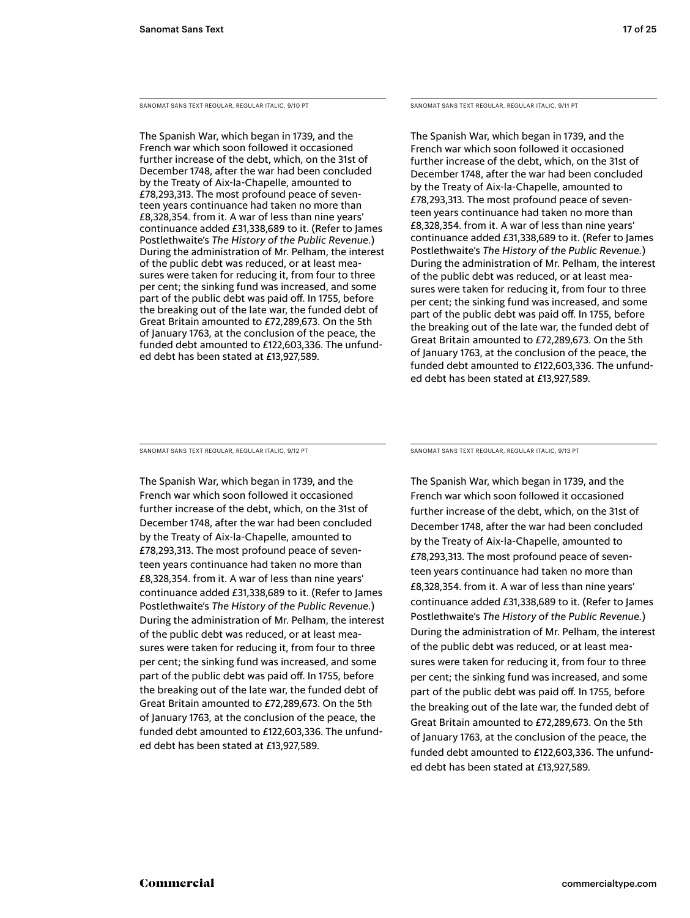Sanomat Sans Text Regular, regular italic, 9/10 PT

The Spanish War, which began in 1739, and the French war which soon followed it occasioned further increase of the debt, which, on the 31st of December 1748, after the war had been concluded by the Treaty of Aix-la-Chapelle, amounted to £78,293,313. The most profound peace of seventeen years continuance had taken no more than £8,328,354. from it. A war of less than nine years' continuance added £31,338,689 to it. (Refer to James Postlethwaite's *The History of the Public Revenue.*) During the administration of Mr. Pelham, the interest of the public debt was reduced, or at least measures were taken for reducing it, from four to three per cent; the sinking fund was increased, and some part of the public debt was paid off. In 1755, before the breaking out of the late war, the funded debt of Great Britain amounted to £72,289,673. On the 5th of January 1763, at the conclusion of the peace, the funded debt amounted to £122,603,336. The unfunded debt has been stated at £13,927,589.

Sanomat Sans Text Regular, regular italic, 9/11 Pt

The Spanish War, which began in 1739, and the French war which soon followed it occasioned further increase of the debt, which, on the 31st of December 1748, after the war had been concluded by the Treaty of Aix-la-Chapelle, amounted to £78,293,313. The most profound peace of seventeen years continuance had taken no more than £8,328,354. from it. A war of less than nine years' continuance added £31,338,689 to it. (Refer to James Postlethwaite's *The History of the Public Revenue.*) During the administration of Mr. Pelham, the interest of the public debt was reduced, or at least measures were taken for reducing it, from four to three per cent; the sinking fund was increased, and some part of the public debt was paid off. In 1755, before the breaking out of the late war, the funded debt of Great Britain amounted to £72,289,673. On the 5th of January 1763, at the conclusion of the peace, the funded debt amounted to £122,603,336. The unfunded debt has been stated at £13,927,589.

Sanomat Sans Text Regular, regular italic, 9/12 PT

The Spanish War, which began in 1739, and the French war which soon followed it occasioned further increase of the debt, which, on the 31st of December 1748, after the war had been concluded by the Treaty of Aix-la-Chapelle, amounted to £78,293,313. The most profound peace of seventeen years continuance had taken no more than £8,328,354. from it. A war of less than nine years' continuance added £31,338,689 to it. (Refer to James Postlethwaite's *The History of the Public Revenue.*) During the administration of Mr. Pelham, the interest of the public debt was reduced, or at least measures were taken for reducing it, from four to three per cent; the sinking fund was increased, and some part of the public debt was paid off. In 1755, before the breaking out of the late war, the funded debt of Great Britain amounted to £72,289,673. On the 5th of January 1763, at the conclusion of the peace, the funded debt amounted to £122,603,336. The unfunded debt has been stated at £13,927,589.

Sanomat Sans Text Regular, regular italic, 9/13 PT

The Spanish War, which began in 1739, and the French war which soon followed it occasioned further increase of the debt, which, on the 31st of December 1748, after the war had been concluded by the Treaty of Aix-la-Chapelle, amounted to £78,293,313. The most profound peace of seventeen years continuance had taken no more than £8,328,354. from it. A war of less than nine years' continuance added £31,338,689 to it. (Refer to James Postlethwaite's *The History of the Public Revenue.*) During the administration of Mr. Pelham, the interest of the public debt was reduced, or at least measures were taken for reducing it, from four to three per cent; the sinking fund was increased, and some part of the public debt was paid off. In 1755, before the breaking out of the late war, the funded debt of Great Britain amounted to £72,289,673. On the 5th of January 1763, at the conclusion of the peace, the funded debt amounted to £122,603,336. The unfunded debt has been stated at £13,927,589.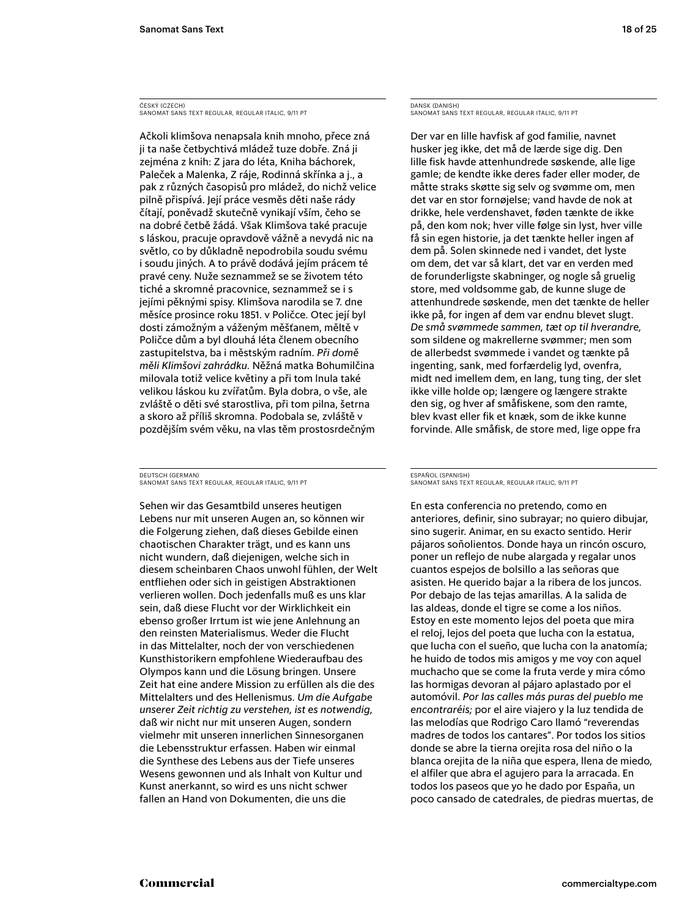ČESKÝ (CZECH) Sanomat Sans Text Regular, regular italic, 9/11 PT

Ačkoli klimšova nenapsala knih mnoho, přece zná ji ta naše četbychtivá mládež tuze dobře. Zná ji zejména z knih: Z jara do léta, Kniha báchorek, Paleček a Malenka, Z ráje, Rodinná skřínka a j., a pak z různých časopisů pro mládež, do nichž velice pilně přispívá. Její práce vesměs děti naše rády čítají, poněvadž skutečně vynikají vším, čeho se na dobré četbě žádá. Však Klimšova také pracuje s láskou, pracuje opravdově vážně a nevydá nic na světlo, co by důkladně nepodrobila soudu svému i soudu jiných. A to právě dodává jejím prácem té pravé ceny. Nuže seznammež se se životem této tiché a skromné pracovnice, seznammež se i s jejími pěknými spisy. Klimšova narodila se 7. dne měsíce prosince roku 1851. v Poličce. Otec její byl dosti zámožným a váženým měšťanem, měltě v Poličce dům a byl dlouhá léta členem obecního zastupitelstva, ba i městským radním. *Při domě měli Klimšovi zahrádku.* Něžná matka Bohumilčina milovala totiž velice květiny a při tom lnula také velikou láskou ku zvířatům. Byla dobra, o vše, ale zvláště o děti své starostliva, při tom pilna, šetrna a skoro až příliš skromna. Podobala se, zvláště v pozdějším svém věku, na vlas těm prostosrdečným

DEUTSCH (GERMAN) Sanomat Sans Text Regular, regular italic, 9/11 PT

Sehen wir das Gesamtbild unseres heutigen Lebens nur mit unseren Augen an, so können wir die Folgerung ziehen, daß dieses Gebilde einen chaotischen Charakter trägt, und es kann uns nicht wundern, daß diejenigen, welche sich in diesem scheinbaren Chaos unwohl fühlen, der Welt entfliehen oder sich in geistigen Abstraktionen verlieren wollen. Doch jedenfalls muß es uns klar sein, daß diese Flucht vor der Wirklichkeit ein ebenso großer Irrtum ist wie jene Anlehnung an den reinsten Materialismus. Weder die Flucht in das Mittelalter, noch der von verschiedenen Kunsthistorikern empfohlene Wiederaufbau des Olympos kann und die Lösung bringen. Unsere Zeit hat eine andere Mission zu erfüllen als die des Mittelalters und des Hellenismus. *Um die Aufgabe unserer Zeit richtig zu verstehen, ist es notwendig,* daß wir nicht nur mit unseren Augen, sondern vielmehr mit unseren innerlichen Sinnesorganen die Lebensstruktur erfassen. Haben wir einmal die Synthese des Lebens aus der Tiefe unseres Wesens gewonnen und als Inhalt von Kultur und Kunst anerkannt, so wird es uns nicht schwer fallen an Hand von Dokumenten, die uns die

DANSK (DANISH) Sanomat Sans Text Regular, regular italic, 9/11 PT

Der var en lille havfisk af god familie, navnet husker jeg ikke, det må de lærde sige dig. Den lille fisk havde attenhundrede søskende, alle lige gamle; de kendte ikke deres fader eller moder, de måtte straks skøtte sig selv og svømme om, men det var en stor fornøjelse; vand havde de nok at drikke, hele verdenshavet, føden tænkte de ikke på, den kom nok; hver ville følge sin lyst, hver ville få sin egen historie, ja det tænkte heller ingen af dem på. Solen skinnede ned i vandet, det lyste om dem, det var så klart, det var en verden med de forunderligste skabninger, og nogle så gruelig store, med voldsomme gab, de kunne sluge de attenhundrede søskende, men det tænkte de heller ikke på, for ingen af dem var endnu blevet slugt. *De små svømmede sammen, tæt op til hverandre,*  som sildene og makrellerne svømmer; men som de allerbedst svømmede i vandet og tænkte på ingenting, sank, med forfærdelig lyd, ovenfra, midt ned imellem dem, en lang, tung ting, der slet ikke ville holde op; længere og længere strakte den sig, og hver af småfiskene, som den ramte, blev kvast eller fik et knæk, som de ikke kunne forvinde. Alle småfisk, de store med, lige oppe fra

### ESPAÑOL (SPANISH) Sanomat Sans Text Regular, regular italic, 9/11 PT

En esta conferencia no pretendo, como en anteriores, definir, sino subrayar; no quiero dibujar, sino sugerir. Animar, en su exacto sentido. Herir pájaros soñolientos. Donde haya un rincón oscuro, poner un reflejo de nube alargada y regalar unos cuantos espejos de bolsillo a las señoras que asisten. He querido bajar a la ribera de los juncos. Por debajo de las tejas amarillas. A la salida de las aldeas, donde el tigre se come a los niños. Estoy en este momento lejos del poeta que mira el reloj, lejos del poeta que lucha con la estatua, que lucha con el sueño, que lucha con la anatomía; he huido de todos mis amigos y me voy con aquel muchacho que se come la fruta verde y mira cómo las hormigas devoran al pájaro aplastado por el automóvil. *Por las calles más puras del pueblo me encontraréis;* por el aire viajero y la luz tendida de las melodías que Rodrigo Caro llamó "reverendas madres de todos los cantares". Por todos los sitios donde se abre la tierna orejita rosa del niño o la blanca orejita de la niña que espera, llena de miedo, el alfiler que abra el agujero para la arracada. En todos los paseos que yo he dado por España, un poco cansado de catedrales, de piedras muertas, de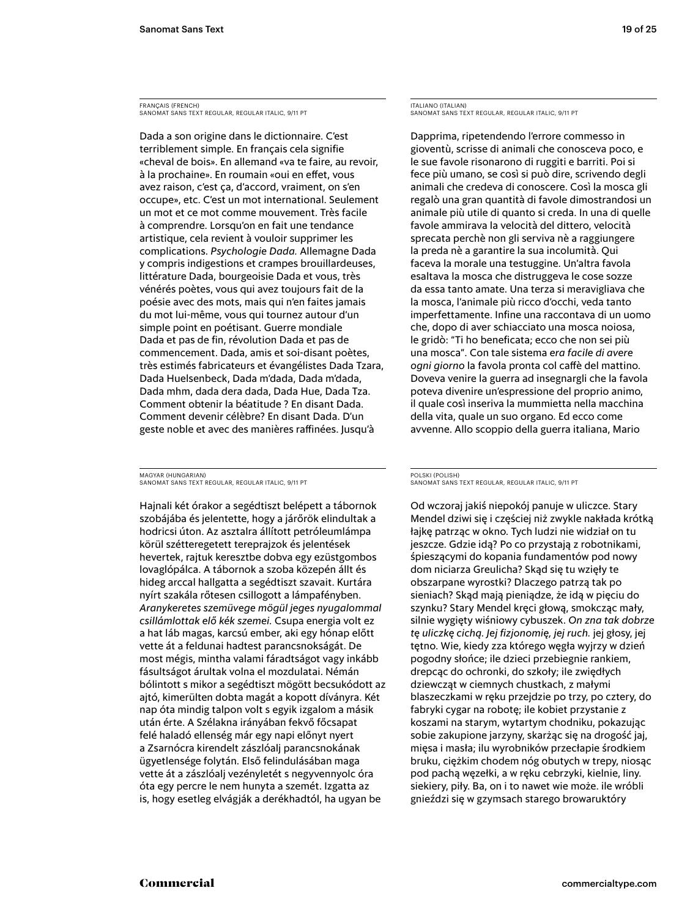FRANÇAIS (FRENCH) Sanomat Sans Text Regular, regular italic, 9/11 PT

Dada a son origine dans le dictionnaire. C'est terriblement simple. En français cela signifie «cheval de bois». En allemand «va te faire, au revoir, à la prochaine». En roumain «oui en effet, vous avez raison, c'est ça, d'accord, vraiment, on s'en occupe», etc. C'est un mot international. Seulement un mot et ce mot comme mouvement. Très facile à comprendre. Lorsqu'on en fait une tendance artistique, cela revient à vouloir supprimer les complications. *Psychologie Dada.* Allemagne Dada y compris indigestions et crampes brouillardeuses, littérature Dada, bourgeoisie Dada et vous, très vénérés poètes, vous qui avez toujours fait de la poésie avec des mots, mais qui n'en faites jamais du mot lui-même, vous qui tournez autour d'un simple point en poétisant. Guerre mondiale Dada et pas de fin, révolution Dada et pas de commencement. Dada, amis et soi-disant poètes, très estimés fabricateurs et évangélistes Dada Tzara, Dada Huelsenbeck, Dada m'dada, Dada m'dada, Dada mhm, dada dera dada, Dada Hue, Dada Tza. Comment obtenir la béatitude ? En disant Dada. Comment devenir célèbre? En disant Dada. D'un geste noble et avec des manières raffinées. Jusqu'à

MAGYAR (HUNGARIAN) Sanomat Sans Text Regular, regular italic, 9/11 PT

Hajnali két órakor a segédtiszt belépett a tábornok szobájába és jelentette, hogy a járőrök elindultak a hodricsi úton. Az asztalra állított petróleumlámpa körül szétteregetett tereprajzok és jelentések hevertek, rajtuk keresztbe dobva egy ezüstgombos lovaglópálca. A tábornok a szoba közepén állt és hideg arccal hallgatta a segédtiszt szavait. Kurtára nyírt szakála rőtesen csillogott a lámpafényben. *Aranykeretes szemüvege mögül jeges nyugalommal csillámlottak elő kék szemei.* Csupa energia volt ez a hat láb magas, karcsú ember, aki egy hónap előtt vette át a feldunai hadtest parancsnokságát. De most mégis, mintha valami fáradtságot vagy inkább fásultságot árultak volna el mozdulatai. Némán bólintott s mikor a segédtiszt mögött becsukódott az ajtó, kimerülten dobta magát a kopott díványra. Két nap óta mindig talpon volt s egyik izgalom a másik után érte. A Szélakna irányában fekvő főcsapat felé haladó ellenség már egy napi előnyt nyert a Zsarnócra kirendelt zászlóalj parancsnokának ügyetlensége folytán. Első felindulásában maga vette át a zászlóalj vezényletét s negyvennyolc óra óta egy percre le nem hunyta a szemét. Izgatta az is, hogy esetleg elvágják a derékhadtól, ha ugyan be

ITALIANO (ITALIAN) Sanomat Sans Text Regular, regular italic, 9/11 PT

Dapprima, ripetendendo l'errore commesso in gioventù, scrisse di animali che conosceva poco, e le sue favole risonarono di ruggiti e barriti. Poi si fece più umano, se così si può dire, scrivendo degli animali che credeva di conoscere. Così la mosca gli regalò una gran quantità di favole dimostrandosi un animale più utile di quanto si creda. In una di quelle favole ammirava la velocità del dittero, velocità sprecata perchè non gli serviva nè a raggiungere la preda nè a garantire la sua incolumità. Qui faceva la morale una testuggine. Un'altra favola esaltava la mosca che distruggeva le cose sozze da essa tanto amate. Una terza si meravigliava che la mosca, l'animale più ricco d'occhi, veda tanto imperfettamente. Infine una raccontava di un uomo che, dopo di aver schiacciato una mosca noiosa, le gridò: "Ti ho beneficata; ecco che non sei più una mosca". Con tale sistema *era facile di avere ogni giorno* la favola pronta col caffè del mattino. Doveva venire la guerra ad insegnargli che la favola poteva divenire un'espressione del proprio animo, il quale così inseriva la mummietta nella macchina della vita, quale un suo organo. Ed ecco come avvenne. Allo scoppio della guerra italiana, Mario

POLSKI (POLISH) Sanomat Sans Text Regular, regular italic, 9/11 PT

Od wczoraj jakiś niepokój panuje w uliczce. Stary Mendel dziwi się i częściej niż zwykle nakłada krótką łajkę patrząc w okno. Tych ludzi nie widział on tu jeszcze. Gdzie idą? Po co przystają z robotnikami, śpieszącymi do kopania fundamentów pod nowy dom niciarza Greulicha? Skąd się tu wzięły te obszarpane wyrostki? Dlaczego patrzą tak po sieniach? Skąd mają pieniądze, że idą w pięciu do szynku? Stary Mendel kręci głową, smokcząc mały, silnie wygięty wiśniowy cybuszek. *On zna tak dobrze tę uliczkę cichą. Jej fizjonomię, jej ruch.* jej głosy, jej tętno. Wie, kiedy zza którego węgła wyjrzy w dzień pogodny słońce; ile dzieci przebiegnie rankiem, drepcąc do ochronki, do szkoły; ile zwiędłych dziewcząt w ciemnych chustkach, z małymi blaszeczkami w ręku przejdzie po trzy, po cztery, do fabryki cygar na robotę; ile kobiet przystanie z koszami na starym, wytartym chodniku, pokazując sobie zakupione jarzyny, skarżąc się na drogość jaj, mięsa i masła; ilu wyrobników przecłapie środkiem bruku, ciężkim chodem nóg obutych w trepy, niosąc pod pachą węzełki, a w ręku cebrzyki, kielnie, liny. siekiery, piły. Ba, on i to nawet wie może. ile wróbli gnieździ się w gzymsach starego browaruktóry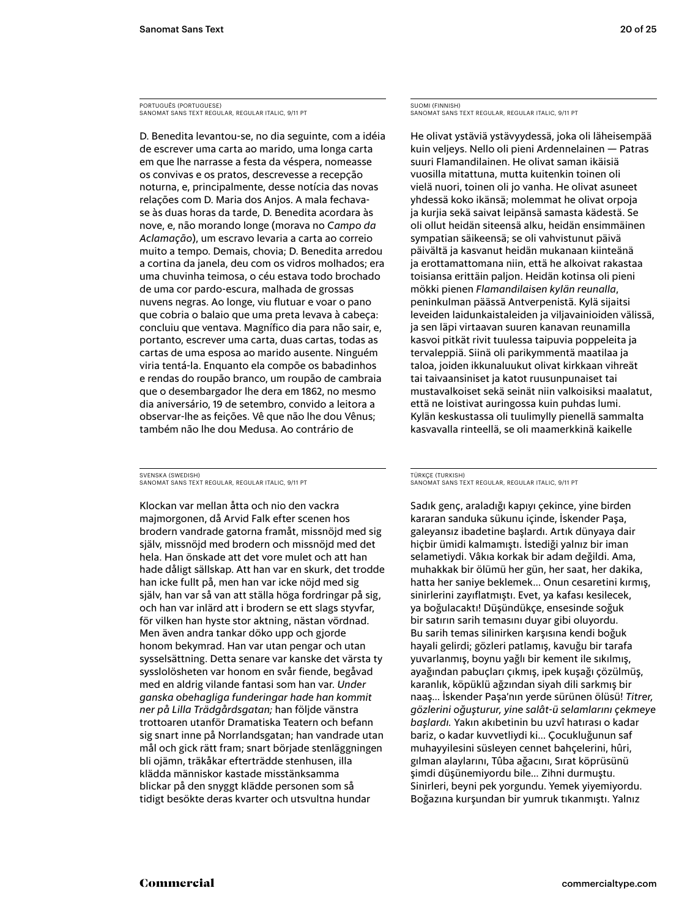PORTUGUÊS (PORTUGUESE) Sanomat Sans Text Regular, regular italic, 9/11 PT

D. Benedita levantou-se, no dia seguinte, com a idéia de escrever uma carta ao marido, uma longa carta em que lhe narrasse a festa da véspera, nomeasse os convivas e os pratos, descrevesse a recepção noturna, e, principalmente, desse notícia das novas relações com D. Maria dos Anjos. A mala fechavase às duas horas da tarde, D. Benedita acordara às nove, e, não morando longe (morava no *Campo da Aclamação*), um escravo levaria a carta ao correio muito a tempo. Demais, chovia; D. Benedita arredou a cortina da janela, deu com os vidros molhados; era uma chuvinha teimosa, o céu estava todo brochado de uma cor pardo-escura, malhada de grossas nuvens negras. Ao longe, viu flutuar e voar o pano que cobria o balaio que uma preta levava à cabeça: concluiu que ventava. Magnífico dia para não sair, e, portanto, escrever uma carta, duas cartas, todas as cartas de uma esposa ao marido ausente. Ninguém viria tentá-la. Enquanto ela compõe os babadinhos e rendas do roupão branco, um roupão de cambraia que o desembargador lhe dera em 1862, no mesmo dia aniversário, 19 de setembro, convido a leitora a observar-lhe as feições. Vê que não lhe dou Vênus; também não lhe dou Medusa. Ao contrário de

SVENSKA (SWEDISH) Sanomat Sans Text Regular, regular italic, 9/11 PT

Klockan var mellan åtta och nio den vackra majmorgonen, då Arvid Falk efter scenen hos brodern vandrade gatorna framåt, missnöjd med sig själv, missnöjd med brodern och missnöjd med det hela. Han önskade att det vore mulet och att han hade dåligt sällskap. Att han var en skurk, det trodde han icke fullt på, men han var icke nöjd med sig själv, han var så van att ställa höga fordringar på sig, och han var inlärd att i brodern se ett slags styvfar, för vilken han hyste stor aktning, nästan vördnad. Men även andra tankar döko upp och gjorde honom bekymrad. Han var utan pengar och utan sysselsättning. Detta senare var kanske det värsta ty sysslolösheten var honom en svår fiende, begåvad med en aldrig vilande fantasi som han var. *Under ganska obehagliga funderingar hade han kommit ner på Lilla Trädgårdsgatan;* han följde vänstra trottoaren utanför Dramatiska Teatern och befann sig snart inne på Norrlandsgatan; han vandrade utan mål och gick rätt fram; snart började stenläggningen bli ojämn, träkåkar efterträdde stenhusen, illa klädda människor kastade misstänksamma blickar på den snyggt klädde personen som så tidigt besökte deras kvarter och utsvultna hundar

SUOMI (FINNISH) Sanomat Sans Text Regular, regular italic, 9/11 PT

He olivat ystäviä ystävyydessä, joka oli läheisempää kuin veljeys. Nello oli pieni Ardennelainen — Patras suuri Flamandilainen. He olivat saman ikäisiä vuosilla mitattuna, mutta kuitenkin toinen oli vielä nuori, toinen oli jo vanha. He olivat asuneet yhdessä koko ikänsä; molemmat he olivat orpoja ja kurjia sekä saivat leipänsä samasta kädestä. Se oli ollut heidän siteensä alku, heidän ensimmäinen sympatian säikeensä; se oli vahvistunut päivä päivältä ja kasvanut heidän mukanaan kiinteänä ja erottamattomana niin, että he alkoivat rakastaa toisiansa erittäin paljon. Heidän kotinsa oli pieni mökki pienen *Flamandilaisen kylän reunalla*, peninkulman päässä Antverpenistä. Kylä sijaitsi leveiden laidunkaistaleiden ja viljavainioiden välissä, ja sen läpi virtaavan suuren kanavan reunamilla kasvoi pitkät rivit tuulessa taipuvia poppeleita ja tervaleppiä. Siinä oli parikymmentä maatilaa ja taloa, joiden ikkunaluukut olivat kirkkaan vihreät tai taivaansiniset ja katot ruusunpunaiset tai mustavalkoiset sekä seinät niin valkoisiksi maalatut, että ne loistivat auringossa kuin puhdas lumi. Kylän keskustassa oli tuulimylly pienellä sammalta kasvavalla rinteellä, se oli maamerkkinä kaikelle

### TÜRKÇE (TURKISH) Sanomat Sans Text Regular, regular italic, 9/11 PT

Sadık genç, araladığı kapıyı çekince, yine birden kararan sanduka sükunu içinde, İskender Paşa, galeyansız ibadetine başlardı. Artık dünyaya dair hiçbir ümidi kalmamıştı. İstediği yalnız bir iman selametiydi. Vâkıa korkak bir adam değildi. Ama, muhakkak bir ölümü her gün, her saat, her dakika, hatta her saniye beklemek… Onun cesaretini kırmış, sinirlerini zayıflatmıştı. Evet, ya kafası kesilecek, ya boğulacaktı! Düşündükçe, ensesinde soğuk bir satırın sarih temasını duyar gibi oluyordu. Bu sarih temas silinirken karşısına kendi boğuk hayali gelirdi; gözleri patlamış, kavuğu bir tarafa yuvarlanmış, boynu yağlı bir kement ile sıkılmış, ayağından pabuçları çıkmış, ipek kuşağı çözülmüş, karanlık, köpüklü ağzından siyah dili sarkmış bir naaş… İskender Paşa'nın yerde sürünen ölüsü! *Titrer, gözlerini oğuşturur, yine salât-ü selamlarını çekmeye başlardı.* Yakın akıbetinin bu uzvî hatırası o kadar bariz, o kadar kuvvetliydi ki… Çocukluğunun saf muhayyilesini süsleyen cennet bahçelerini, hûri, gılman alaylarını, Tûba ağacını, Sırat köprüsünü şimdi düşünemiyordu bile… Zihni durmuştu. Sinirleri, beyni pek yorgundu. Yemek yiyemiyordu. Boğazına kurşundan bir yumruk tıkanmıştı. Yalnız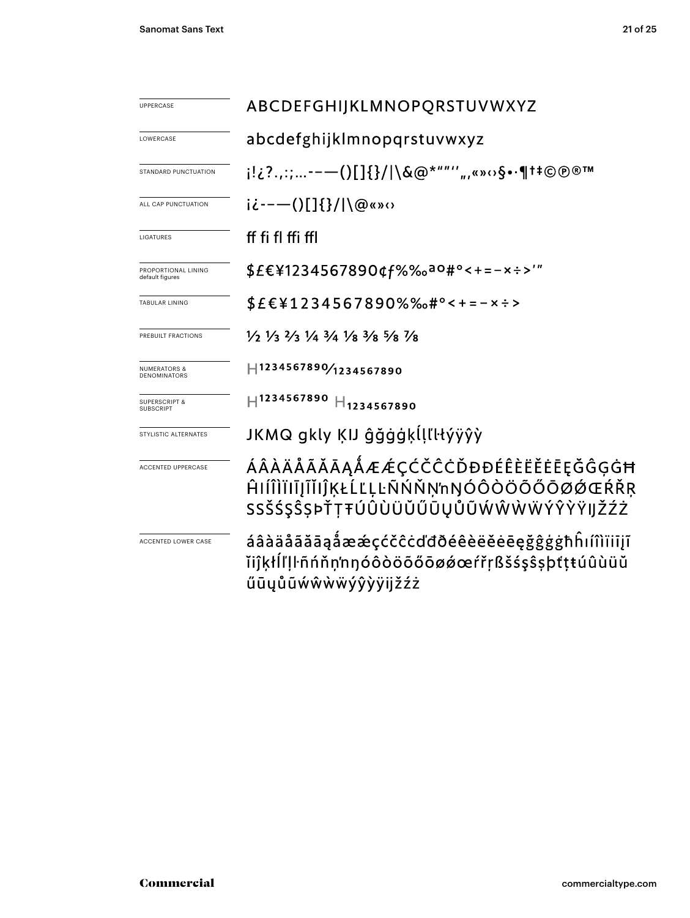| <b>UPPERCASE</b>                               | ABCDEFGHIJKLMNOPQRSTUVWXYZ                                                                                                    |  |  |  |  |
|------------------------------------------------|-------------------------------------------------------------------------------------------------------------------------------|--|--|--|--|
| LOWERCASE                                      | abcdefghijklmnopqrstuvwxyz                                                                                                    |  |  |  |  |
| STANDARD PUNCTUATION                           | i!¿?.,:;--—()[]{}/ \&@*""'′",«»⇔§•·¶†‡©®®™                                                                                    |  |  |  |  |
| ALL CAP PUNCTUATION                            | $i\dot{\zeta}$ ---()[]{}/ \@«» $\Omega$                                                                                       |  |  |  |  |
| <b>LIGATURES</b>                               | ff fi fl ffi ffl                                                                                                              |  |  |  |  |
| PROPORTIONAL LINING<br>default figures         | \$£€¥1234567890¢f%‰aº#°<+=-x÷>'"                                                                                              |  |  |  |  |
| <b>TABULAR LINING</b>                          | $$E$ $\\E$ $41234567890\%$ % $$+$ °<+=-x÷>                                                                                    |  |  |  |  |
| PREBUILT FRACTIONS                             | $\frac{1}{2}$ $\frac{1}{3}$ $\frac{2}{3}$ $\frac{1}{4}$ $\frac{3}{4}$ $\frac{1}{8}$ $\frac{3}{8}$ $\frac{5}{8}$ $\frac{7}{8}$ |  |  |  |  |
| <b>NUMERATORS &amp;</b><br><b>DENOMINATORS</b> | H1234567890/1234567890                                                                                                        |  |  |  |  |
| <b>SUPERSCRIPT &amp;</b><br><b>SUBSCRIPT</b>   | $H^{1234567890}$ $H_{1234567890}$                                                                                             |  |  |  |  |
| STYLISTIC ALTERNATES                           | JKMQ gkly KIJ ĝğġġķĺļľŀłýÿŷỳ                                                                                                  |  |  |  |  |
| <b>ACCENTED UPPERCASE</b>                      | ÁÂÀÄÅÃĂĀĄÅÆÆÇĆČĈĊĎĐĐÉÊÈËĔĒĘĞĜĢĠĦ<br>ĤIÍÎÌÏIĪJĨĬIĴĶŁĹĽĻĿÑŃŇŅ'nŊÓÔÒÖÕŐŌØØŒŔŘŖ<br>SSŠŚŞŜŞÞŤŢŦÚÛÙÜŬŰŨŲŮŨŴŴŴŴÝŶŶŸIJŽŹŻ             |  |  |  |  |
| ACCENTED LOWER CASE                            | áâàäåãăāąåææçćčĉċďđðéêèëĕēeęğĝġġħĥıíîìïiījĩ<br>ĭijŖłĺľŀñńňn'nŋóôòöõőōøǿœŕřŗßšśşŝṣþťţŧúûùüŭ<br>űūyůũẃŵẁẅýŷỳÿijžźż              |  |  |  |  |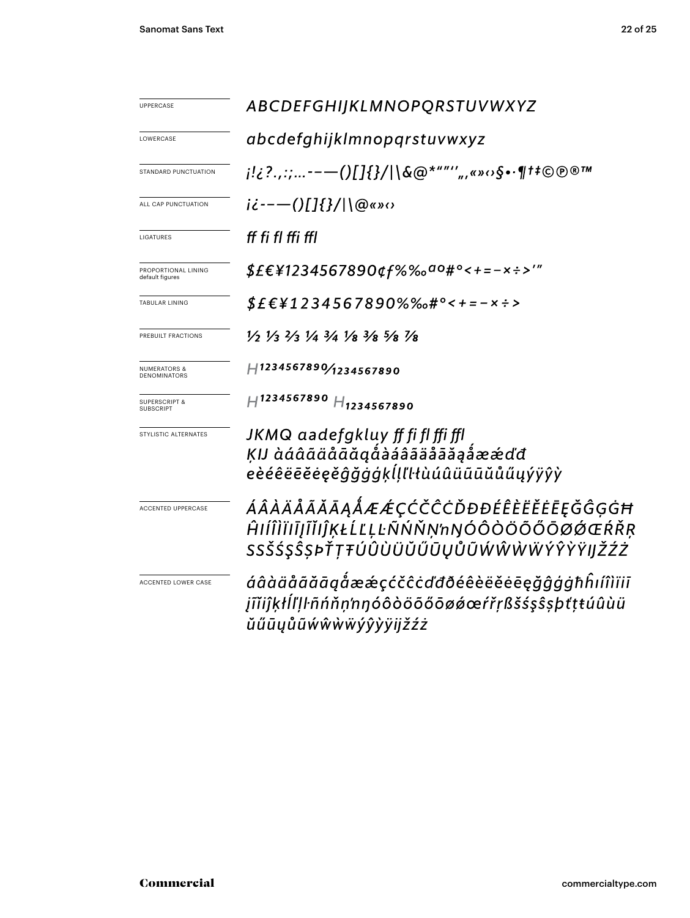| UPPERCASE                                    | ABCDEFGHIJKLMNOPQRSTUVWXYZ                                                                                                    |  |  |  |  |
|----------------------------------------------|-------------------------------------------------------------------------------------------------------------------------------|--|--|--|--|
| LOWERCASE                                    | abcdefghijklmnopgrstuvwxyz                                                                                                    |  |  |  |  |
| STANDARD PUNCTUATION                         | ¡!¿?.,:;--—()[]{}/ \&@*""'′",«»⇔§•∙¶†‡©℗®™                                                                                    |  |  |  |  |
| ALL CAP PUNCTUATION                          | $i\zeta$ - - - - ( )[ ] { } / $\log n$                                                                                        |  |  |  |  |
| LIGATURES                                    | ff fi fl ffi ffl                                                                                                              |  |  |  |  |
| PROPORTIONAL LINING<br>default figures       | <i>\$£€¥1234567890¢f%‰<sup>ao</sup>#°&lt;+=-×÷&gt;'"</i>                                                                      |  |  |  |  |
| <b>TABULAR LINING</b>                        | \$£€¥1234567890%‰#°<+=-×÷>                                                                                                    |  |  |  |  |
| PREBUILT FRACTIONS                           | $\frac{1}{2}$ $\frac{1}{3}$ $\frac{2}{3}$ $\frac{1}{4}$ $\frac{3}{4}$ $\frac{1}{8}$ $\frac{3}{8}$ $\frac{5}{8}$ $\frac{7}{8}$ |  |  |  |  |
| <b>NUMERATORS &amp;</b><br>DENOMINATORS      | H1234567890/1234567890                                                                                                        |  |  |  |  |
| <b>SUPERSCRIPT &amp;</b><br><b>SUBSCRIPT</b> | $H^{1234567890}$ $H_{1234567890}$                                                                                             |  |  |  |  |
| STYLISTIC ALTERNATES                         | JKMQ aadefgkluy ff fi fl ffi ffl<br>ĶIJ àáâãäåāăąåàáâãäåāäąåææďđ<br>eèéêëēĕėęěĝğġġķĺḷľŀłùúûüūūŭůűųýÿŷỳ                        |  |  |  |  |
| <b>ACCENTED UPPERCASE</b>                    | ÁÂÀÄÅÃĂĀĄÅÆÆÇĆČĈĊĎĐĐÉÊÈËĔĒĘĞĜĢĠĦ<br>ĤIÍÎÌÏĪJĨĬIĴĶŁĹĽĻĿÑŃŇŅ'nŊÓÔÒÖÕŐŌØØŒŔŘŖ<br>SSŠŚŞŜSÞŤTŦÚÛÙÜŬŰŨŲŮŨŴŴŴŴÝŶŶŸIJŽŹŻ              |  |  |  |  |
| ACCENTED LOWER CASE                          | áâàäåããããgåææçćčĉcďđðéêèëĕėēęğĝģġħĥıíîìïiī<br>įĩĭiĵķłĺľļŀñńňņ'nŋóôòöõőōøǿœŕřṛßšśşŝṣþťṭŧúûùü<br>ŭűūųůũẃŵẁẅýŷỳÿijžźż            |  |  |  |  |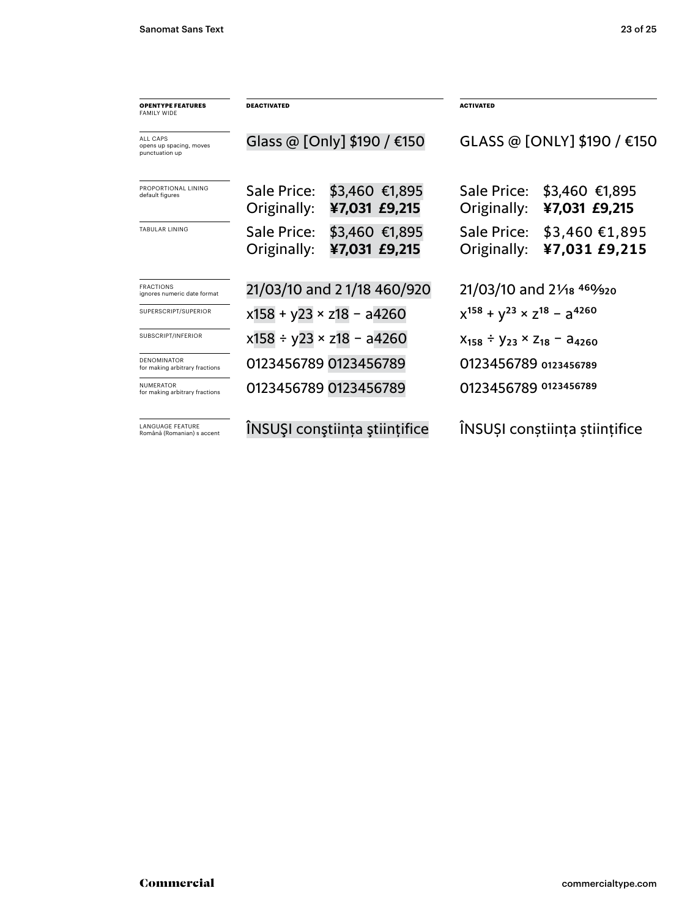| <b>OPENTYPE FEATURES</b><br>FAMILY WIDE                | <b>DEACTIVATED</b>          |                                    | <b>ACTIVATED</b>                               |                                          |  |
|--------------------------------------------------------|-----------------------------|------------------------------------|------------------------------------------------|------------------------------------------|--|
| ALL CAPS<br>opens up spacing, moves<br>punctuation up  | Glass @ [Only] \$190 / €150 |                                    | GLASS @ [ONLY] \$190 / €150                    |                                          |  |
| PROPORTIONAL LINING<br>default figures                 | Sale Price:<br>Originally:  | \$3,460 €1,895<br>¥7,031 £9,215    | Sale Price:<br>Originally:                     | \$3,460 €1,895<br>¥7,031 £9,215          |  |
| <b>TABULAR LINING</b>                                  | Sale Price:<br>Originally:  | \$3,460 €1,895<br>¥7,031 £9,215    | Sale Price:<br>Originally:                     | $$3,460 \text{ €}1,895$<br>¥7,031 £9,215 |  |
| <b>FRACTIONS</b><br>ignores numeric date format        | 21/03/10 and 21/18 460/920  |                                    | 21/03/10 and 21/18 469/920                     |                                          |  |
| SUPERSCRIPT/SUPERIOR                                   |                             | $x158 + y23 \times z18 - a4260$    | $x^{158} + y^{23} \times z^{18} - a^{4260}$    |                                          |  |
| SUBSCRIPT/INFERIOR                                     |                             | $x158 \div y23 \times z18 - a4260$ | $X_{158} \div Y_{23} \times Z_{18} - A_{4260}$ |                                          |  |
| <b>DENOMINATOR</b><br>for making arbitrary fractions   |                             | 0123456789 0123456789              | 0123456789 0123456789                          |                                          |  |
| <b>NUMERATOR</b><br>for making arbitrary fractions     |                             | 0123456789 0123456789              | 0123456789 0123456789                          |                                          |  |
| <b>I ANGUAGE FFATURE</b><br>Română (Romanian) s accent |                             | ÎNSUȘI conștiința științifice      | INSUSI constiința științifice                  |                                          |  |
|                                                        |                             |                                    |                                                |                                          |  |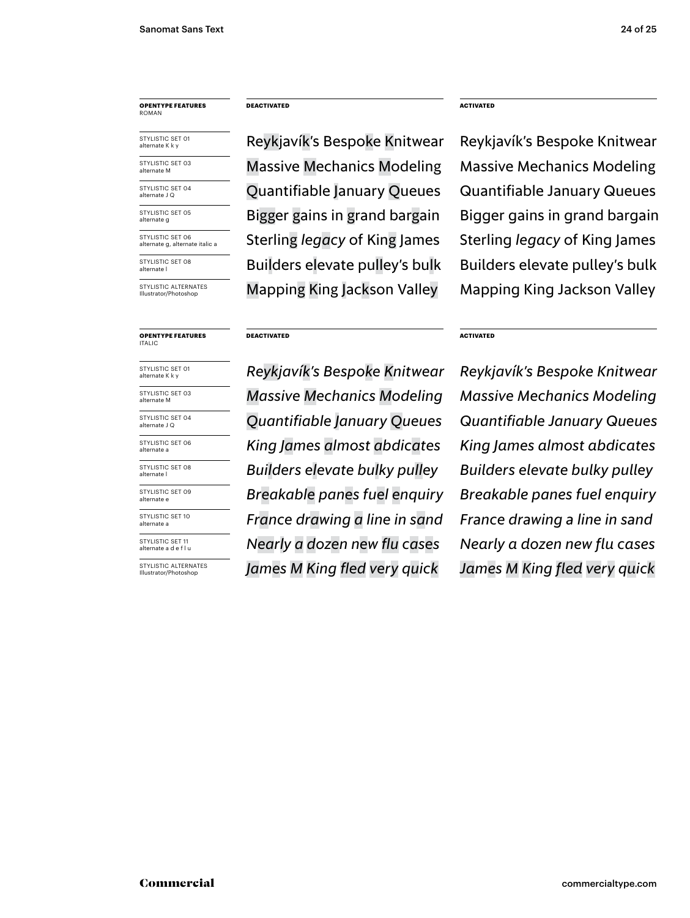# **opentype FEATUREs** roman

STYLISTIC SET 01 alternate K k y

STYLISTIC SFT 03 alternate M STYLISTIC SET 04<br>alternate J Q

STYLISTIC SFT 05 alternate g

STYLISTIC SET 06 alternate g, alternate italic a

STYLISTIC SET 08 alternate

STYLISTIC ALTERNATES **Illustrator/Pho** 

# **opentype FEATUREs** Italic

STYLISTIC SET 01 alternate K k y STYLISTIC SET 03 alternate M

STYLISTIC SET 06 STYLISTIC SET 04 alternate J Q

alternate a STYLISTIC SFT 08

alternate l STYLISTIC SET 09

alternate e STYLISTIC SET 10

alternate a

STYLISTIC SET 11 alternate a d e f l u

STYLISTIC ALTERNATES Illustrator/Photoshop

**DEACTIVATED ACTIVATED**

Reykjavík's Bespoke Knitwear Reykjavík's Bespoke Knitwear Massive Mechanics Modeling Massive Mechanics Modeling Sterling *legacy* of King James Sterling *legacy* of King James Builders elevate pulley's bulk Builders elevate pulley's bulk Mapping King Jackson Valley Mapping King Jackson Valley Bigger gains in grand bargain Bigger gains in grand bargain Quantifiable January Queues Quantifiable January Queues

### **DEACTIVATED ACTIVATED**

*Massive Mechanics Modeling Massive Mechanics Modeling Quantifiable January Queues Quantifiable January Queues Breakable panes fuel enquiry Breakable panes fuel enquiry King James almost abdicates King James almost abdicates France drawing a line in sand France drawing a line in sand Builders elevate bulky pulley Builders elevate bulky pulley James M King fled very quick James M King fled very quick Nearly a dozen new flu cases*

*Reykjavík's Bespoke Knitwear Reykjavík's Bespoke Knitwear Nearly a dozen new flu cases*